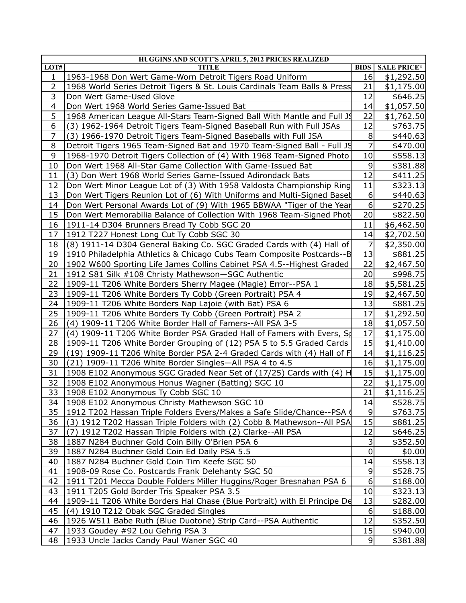|                | HUGGINS AND SCOTT'S APRIL 5, 2012 PRICES REALIZED                                                |                  |                      |
|----------------|--------------------------------------------------------------------------------------------------|------------------|----------------------|
| LOT#           | <b>TITLE</b>                                                                                     | <b>BIDS</b>      | <b>SALE PRICE*</b>   |
| 1              | 1963-1968 Don Wert Game-Worn Detroit Tigers Road Uniform                                         | 16               | \$1,292.50           |
| $\overline{2}$ | 1968 World Series Detroit Tigers & St. Louis Cardinals Team Balls & Press                        | 21               | \$1,175.00           |
| 3              | Don Wert Game-Used Glove                                                                         | 12               | \$646.25             |
| 4              | Don Wert 1968 World Series Game-Issued Bat                                                       | 14               | \$1,057.50           |
| 5              | 1968 American League All-Stars Team-Signed Ball With Mantle and Full J9                          | 22               | \$1,762.50           |
| 6              | (3) 1962-1964 Detroit Tigers Team-Signed Baseball Run with Full JSAs                             | 12               | \$763.75             |
| $\overline{7}$ | (3) 1966-1970 Detroit Tigers Team-Signed Baseballs with Full JSA                                 | 8                | \$440.63             |
| 8              | Detroit Tigers 1965 Team-Signed Bat and 1970 Team-Signed Ball - Full JS                          | 7                | \$470.00             |
| 9              | 1968-1970 Detroit Tigers Collection of (4) With 1968 Team-Signed Photo                           | 10               | \$558.13             |
| 10             | Don Wert 1968 All-Star Game Collection With Game-Issued Bat                                      | 9                | \$381.88             |
| 11             | Don Wert 1968 World Series Game-Issued Adirondack Bats<br>(3)                                    | 12               | \$411.25             |
| 12             | Don Wert Minor League Lot of (3) With 1958 Valdosta Championship Ring                            | 11               | \$323.13             |
| 13             | Don Wert Tigers Reunion Lot of (6) With Uniforms and Multi-Signed Baset                          | $\boldsymbol{6}$ | \$440.63             |
| 14             | Don Wert Personal Awards Lot of (9) With 1965 BBWAA "Tiger of the Year                           | $\boldsymbol{6}$ | \$270.25             |
| 15             | Don Wert Memorabilia Balance of Collection With 1968 Team-Signed Phot                            | 20               | \$822.50             |
| 16             | 1911-14 D304 Brunners Bread Ty Cobb SGC 20                                                       | 11               | \$6,462.50           |
| 17             | 1912 T227 Honest Long Cut Ty Cobb SGC 30                                                         | 14               | \$2,702.50           |
| 18             | (8) 1911-14 D304 General Baking Co. SGC Graded Cards with (4) Hall of                            | 7                | \$2,350.00           |
| 19             | 1910 Philadelphia Athletics & Chicago Cubs Team Composite Postcards--B                           | 13               | \$881.25             |
| 20             | 1902 W600 Sporting Life James Collins Cabinet PSA 4.5--Highest Graded                            | 22               | \$2,467.50           |
| 21             | 1912 S81 Silk #108 Christy Mathewson-SGC Authentic                                               | 20               | \$998.75             |
| 22             | 1909-11 T206 White Borders Sherry Magee (Magie) Error--PSA 1                                     | 18               | \$5,581.25           |
| 23             | 1909-11 T206 White Borders Ty Cobb (Green Portrait) PSA 4                                        | 19               | \$2,467.50           |
| 24             | 1909-11 T206 White Borders Nap Lajoie (with Bat) PSA 6                                           | 13               | \$881.25             |
| 25             | 1909-11 T206 White Borders Ty Cobb (Green Portrait) PSA 2                                        | 17               | \$1,292.50           |
| 26             | (4) 1909-11 T206 White Border Hall of Famers--All PSA 3-5                                        | 18               | \$1,057.50           |
| 27             | (4) 1909-11 T206 White Border PSA Graded Hall of Famers with Evers, St                           | 17               | \$1,175.00           |
| 28             | 1909-11 T206 White Border Grouping of (12) PSA 5 to 5.5 Graded Cards                             | 15               | \$1,410.00           |
| 29             | (19) 1909-11 T206 White Border PSA 2-4 Graded Cards with (4) Hall of F                           | 14               | \$1,116.25           |
| 30             | (21) 1909-11 T206 White Border Singles-All PSA 4 to 4.5                                          | 16               | \$1,175.00           |
| 31             | 1908 E102 Anonymous SGC Graded Near Set of (17/25) Cards with (4) H                              | 15               | \$1,175.00           |
| 32             | 1908 E102 Anonymous Honus Wagner (Batting) SGC 10                                                | 22               | \$1,175.00           |
| 33             | 1908 E102 Anonymous Ty Cobb SGC 10                                                               | 21               | \$1,116.25           |
| 34             | 1908 E102 Anonymous Christy Mathewson SGC 10                                                     | 14               | \$528.75             |
| 35             | 1912 T202 Hassan Triple Folders Evers/Makes a Safe Slide/Chance--PSA 6                           | 9                | \$763.75             |
| 36             | (3) 1912 T202 Hassan Triple Folders with (2) Cobb & Mathewson--All PSA                           | 15               | \$881.25             |
| 37             | (7) 1912 T202 Hassan Triple Folders with (2) Clarke--All PSA                                     | 12               | \$646.25             |
| 38             | 1887 N284 Buchner Gold Coin Billy O'Brien PSA 6                                                  | 3                | \$352.50             |
| 39             | 1887 N284 Buchner Gold Coin Ed Daily PSA 5.5                                                     | 0                | \$0.00               |
| 40             | 1887 N284 Buchner Gold Coin Tim Keefe SGC 50                                                     | 14               | \$558.13             |
| 41             | 1908-09 Rose Co. Postcards Frank Delehanty SGC 50                                                | 9                | \$528.75             |
| 42             | 1911 T201 Mecca Double Folders Miller Huggins/Roger Bresnahan PSA 6                              | 6                | \$188.00             |
| 43             | 1911 T205 Gold Border Tris Speaker PSA 3.5                                                       | 10               | \$323.13             |
| 44             | 1909-11 T206 White Borders Hal Chase (Blue Portrait) with El Principe De                         | 13               | \$282.00             |
| 45             | (4) 1910 T212 Obak SGC Graded Singles                                                            | $\boldsymbol{6}$ | \$188.00             |
|                |                                                                                                  |                  |                      |
| 46             |                                                                                                  | 12               |                      |
| 47             | 1926 W511 Babe Ruth (Blue Duotone) Strip Card--PSA Authentic<br>1933 Goudey #92 Lou Gehrig PSA 3 | 15               | \$352.50<br>\$940.00 |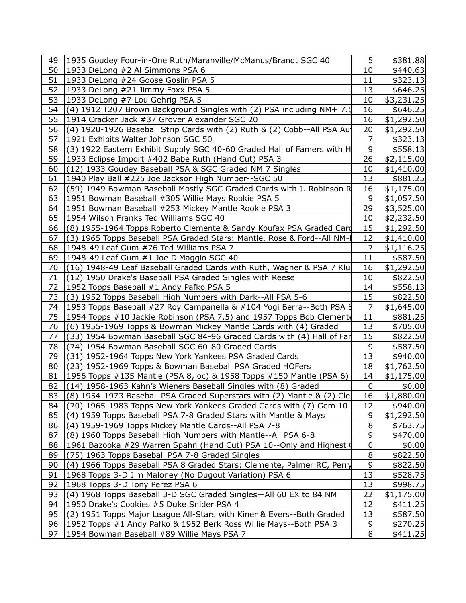| 49       | 1935 Goudey Four-in-One Ruth/Maranville/McManus/Brandt SGC 40                                                                    | 5 <sub>l</sub>  | \$381.88             |  |
|----------|----------------------------------------------------------------------------------------------------------------------------------|-----------------|----------------------|--|
| 50       | 1933 DeLong #2 Al Simmons PSA 6                                                                                                  | 10              | \$440.63             |  |
| 51       | 1933 DeLong #24 Goose Goslin PSA 5                                                                                               | 11              | \$323.13             |  |
| 52       | 1933 DeLong #21 Jimmy Foxx PSA 5                                                                                                 | 13              | \$646.25             |  |
| 53       | 1933 DeLong #7 Lou Gehrig PSA 5                                                                                                  | 10 <sup>1</sup> | \$3,231.25           |  |
| 54       | (4) 1912 T207 Brown Background Singles with (2) PSA including NM+ 7.5                                                            | 16              | \$646.25             |  |
| 55       | 1914 Cracker Jack #37 Grover Alexander SGC 20                                                                                    | 16              | \$1,292.50           |  |
| 56       | (4) 1920-1926 Baseball Strip Cards with (2) Ruth & (2) Cobb--All PSA Aut                                                         | 20              | \$1,292.50           |  |
| 57       | 1921 Exhibits Walter Johnson SGC 50                                                                                              | 7               | \$323.13             |  |
| 58       | (3) 1922 Eastern Exhibit Supply SGC 40-60 Graded Hall of Famers with H                                                           | 9               | \$558.13             |  |
| 59       | 1933 Eclipse Import #402 Babe Ruth (Hand Cut) PSA 3                                                                              | 26              | \$2,115.00           |  |
| 60       | (12) 1933 Goudey Baseball PSA & SGC Graded NM 7 Singles                                                                          | 10 <sub>l</sub> | \$1,410.00           |  |
| 61       | 1940 Play Ball #225 Joe Jackson High Number--SGC 50                                                                              | 13              | \$881.25             |  |
| 62       | (59) 1949 Bowman Baseball Mostly SGC Graded Cards with J. Robinson R                                                             | 16              | \$1,175.00           |  |
| 63       | 1951 Bowman Baseball #305 Willie Mays Rookie PSA 5                                                                               | $\overline{9}$  | \$1,057.50           |  |
| 64       | 1951 Bowman Baseball #253 Mickey Mantle Rookie PSA 3                                                                             | 29              | \$3,525.00           |  |
| 65       | 1954 Wilson Franks Ted Williams SGC 40                                                                                           | 10 <sub>l</sub> | \$2,232.50           |  |
| 66       | (8) 1955-1964 Topps Roberto Clemente & Sandy Koufax PSA Graded Card                                                              | 15              | \$1,292.50           |  |
| 67       | (3) 1965 Topps Baseball PSA Graded Stars: Mantle, Rose & Ford--All NM-                                                           | 12              | \$1,410.00           |  |
| 68       | 1948-49 Leaf Gum #76 Ted Williams PSA 7                                                                                          | 7               | \$1,116.25           |  |
| 69       | 1948-49 Leaf Gum #1 Joe DiMaggio SGC 40                                                                                          | 11              | \$587.50             |  |
| 70       | (16) 1948-49 Leaf Baseball Graded Cards with Ruth, Wagner & PSA 7 Klu                                                            | 16              | \$1,292.50           |  |
| 71       | (12) 1950 Drake's Baseball PSA Graded Singles with Reese                                                                         | 10              | \$822.50             |  |
| 72       | 1952 Topps Baseball #1 Andy Pafko PSA 5                                                                                          | 14              | \$558.13             |  |
| 73       | (3) 1952 Topps Baseball High Numbers with Dark--All PSA 5-6                                                                      | 15              | \$822.50             |  |
| 74       | 1953 Topps Baseball #27 Roy Campanella & #104 Yogi Berra--Both PSA §                                                             | 7               | \$1,645.00           |  |
| 75       | 1954 Topps #10 Jackie Robinson (PSA 7.5) and 1957 Topps Bob Clement                                                              | 11              | \$881.25             |  |
| 76       | (6) 1955-1969 Topps & Bowman Mickey Mantle Cards with (4) Graded                                                                 | 13              | \$705.00             |  |
| 77       | (33) 1954 Bowman Baseball SGC 84-96 Graded Cards with (4) Hall of Far                                                            | 15              | \$822.50             |  |
| 78       | (74) 1954 Bowman Baseball SGC 60-80 Graded Cards                                                                                 | 9               | \$587.50             |  |
| 79       | (31) 1952-1964 Topps New York Yankees PSA Graded Cards                                                                           | 13              | \$940.00             |  |
| 80       | (23) 1952-1969 Topps & Bowman Baseball PSA Graded HOFers                                                                         | 18              | \$1,762.50           |  |
| 81       | 1956 Topps #135 Mantle (PSA 8, oc) & 1958 Topps #150 Mantle (PSA 6)                                                              | 14              | \$1,175.00           |  |
| 82       | (14) 1958-1963 Kahn's Wieners Baseball Singles with (8) Graded                                                                   | $\overline{0}$  | \$0.00               |  |
| 83       | (8) 1954-1973 Baseball PSA Graded Superstars with (2) Mantle & (2) Cle                                                           | 16              | \$1,880.00           |  |
| 84       | (70) 1965-1983 Topps New York Yankees Graded Cards with (7) Gem 10                                                               | 12              | \$940.00             |  |
| 85       | (4) 1959 Topps Baseball PSA 7-8 Graded Stars with Mantle & Mays                                                                  | 9               | \$1,292.50           |  |
| 86       | (4) 1959-1969 Topps Mickey Mantle Cards--All PSA 7-8                                                                             | 8               | \$763.75             |  |
| 87       | (8) 1960 Topps Baseball High Numbers with Mantle--All PSA 6-8                                                                    | 9               | \$470.00             |  |
| 88       | 1961 Bazooka #29 Warren Spahn (Hand Cut) PSA 10--Only and Highest (                                                              | 0               | \$0.00               |  |
| 89       | (75) 1963 Topps Baseball PSA 7-8 Graded Singles                                                                                  | 8               | \$822.50             |  |
| 90<br>91 | (4) 1966 Topps Baseball PSA 8 Graded Stars: Clemente, Palmer RC, Perry<br>1968 Topps 3-D Jim Maloney (No Dugout Variation) PSA 6 | 9<br>13         | \$822.50<br>\$528.75 |  |
| 92       | 1968 Topps 3-D Tony Perez PSA 6                                                                                                  | 13              | \$998.75             |  |
| 93       | (4) 1968 Topps Baseball 3-D SGC Graded Singles-All 60 EX to 84 NM                                                                | 22              | \$1,175.00           |  |
| 94       | 1950 Drake's Cookies #5 Duke Snider PSA 4                                                                                        | 12              | \$411.25             |  |
| 95       | (2) 1951 Topps Major League All-Stars with Kiner & Evers--Both Graded                                                            | 13              | \$587.50             |  |
| 96       | 1952 Topps #1 Andy Pafko & 1952 Berk Ross Willie Mays--Both PSA 3                                                                | 9               | \$270.25             |  |
| 97       | 1954 Bowman Baseball #89 Willie Mays PSA 7                                                                                       | 8               | \$411.25             |  |
|          |                                                                                                                                  |                 |                      |  |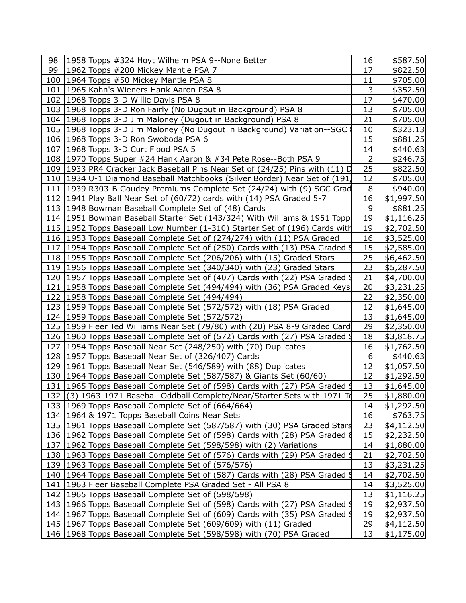| 98 | 1958 Topps #324 Hoyt Wilhelm PSA 9--None Better                               | 16             | \$587.50   |  |
|----|-------------------------------------------------------------------------------|----------------|------------|--|
| 99 | 1962 Topps #200 Mickey Mantle PSA 7                                           | 17             | \$822.50   |  |
|    | 100   1964 Topps #50 Mickey Mantle PSA 8                                      | 11             | \$705.00   |  |
|    | 101   1965 Kahn's Wieners Hank Aaron PSA 8                                    | 3              | \$352.50   |  |
|    | 102 1968 Topps 3-D Willie Davis PSA 8                                         | 17             | \$470.00   |  |
|    | 103 1968 Topps 3-D Ron Fairly (No Dugout in Background) PSA 8                 | 13             | \$705.00   |  |
|    | 104   1968 Topps 3-D Jim Maloney (Dugout in Background) PSA 8                 | 21             | \$705.00   |  |
|    | 105   1968 Topps 3-D Jim Maloney (No Dugout in Background) Variation--SGC     | 10             | \$323.13   |  |
|    | 106   1968 Topps 3-D Ron Swoboda PSA 6                                        | 15             | \$881.25   |  |
|    | 107   1968 Topps 3-D Curt Flood PSA 5                                         | 14             | \$440.63   |  |
|    | 108   1970 Topps Super #24 Hank Aaron & #34 Pete Rose--Both PSA 9             | $\overline{2}$ | \$246.75   |  |
|    | 109 1933 PR4 Cracker Jack Baseball Pins Near Set of (24/25) Pins with (11) D  | 25             | \$822.50   |  |
|    | 110 1934 U-1 Diamond Baseball Matchbooks (Silver Border) Near Set of (191,    | 12             | \$705.00   |  |
|    | 111   1939 R303-B Goudey Premiums Complete Set (24/24) with (9) SGC Grad      | 8              | \$940.00   |  |
|    | 112 1941 Play Ball Near Set of (60/72) cards with (14) PSA Graded 5-7         | 16             | \$1,997.50 |  |
|    | 113 1948 Bowman Baseball Complete Set of (48) Cards                           | 9              | \$881.25   |  |
|    | 114 1951 Bowman Baseball Starter Set (143/324) With Williams & 1951 Topp      | 19             | \$1,116.25 |  |
|    | 115 1952 Topps Baseball Low Number (1-310) Starter Set of (196) Cards with    | 19             | \$2,702.50 |  |
|    | 116 1953 Topps Baseball Complete Set of (274/274) with (11) PSA Graded        | 16             | \$3,525.00 |  |
|    | 117 1954 Topps Baseball Complete Set of (250) Cards with (13) PSA Graded !    | 15             | \$2,585.00 |  |
|    | 118 1955 Topps Baseball Complete Set (206/206) with (15) Graded Stars         | 25             | \$6,462.50 |  |
|    | 119 1956 Topps Baseball Complete Set (340/340) with (23) Graded Stars         | 23             | \$5,287.50 |  |
|    | 120 1957 Topps Baseball Complete Set of (407) Cards with (22) PSA Graded 9    | 21             | \$4,700.00 |  |
|    | 121   1958 Topps Baseball Complete Set (494/494) with (36) PSA Graded Keys    | 20             | \$3,231.25 |  |
|    | 122   1958 Topps Baseball Complete Set (494/494)                              | 22             | \$2,350.00 |  |
|    | 123 1959 Topps Baseball Complete Set (572/572) with (18) PSA Graded           | 12             | \$1,645.00 |  |
|    | 124   1959 Topps Baseball Complete Set (572/572)                              | 13             | \$1,645.00 |  |
|    | 125 1959 Fleer Ted Williams Near Set (79/80) with (20) PSA 8-9 Graded Card    | 29             | \$2,350.00 |  |
|    | 126 1960 Topps Baseball Complete Set of (572) Cards with (27) PSA Graded \$   | 18             | \$3,818.75 |  |
|    | 127   1954 Topps Baseball Near Set (248/250) with (70) Duplicates             | 16             | \$1,762.50 |  |
|    | 128   1957 Topps Baseball Near Set of (326/407) Cards                         | $6 \mid$       | \$440.63   |  |
|    | 129   1961 Topps Baseball Near Set (546/589) with (88) Duplicates             | 12             | \$1,057.50 |  |
|    | 130   1964 Topps Baseball Complete Set (587/587) & Giants Set (60/60)         | 12             | \$1,292.50 |  |
|    | 131   1965 Topps Baseball Complete Set of (598) Cards with (27) PSA Graded \$ | 13             | \$1,645.00 |  |
|    | 132 (3) 1963-1971 Baseball Oddball Complete/Near/Starter Sets with 1971 To    | 25             | \$1,880.00 |  |
|    | 133 1969 Topps Baseball Complete Set of (664/664)                             | 14             | \$1,292.50 |  |
|    | 134   1964 & 1971 Topps Baseball Coins Near Sets                              | 16             | \$763.75   |  |
|    | 135   1961 Topps Baseball Complete Set (587/587) with (30) PSA Graded Stars   | 23             | \$4,112.50 |  |
|    | 136 1962 Topps Baseball Complete Set of (598) Cards with (28) PSA Graded &    | 15             | \$2,232.50 |  |
|    | 137   1962 Topps Baseball Complete Set (598/598) with (2) Variations          | 14             | \$1,880.00 |  |
|    | 138 1963 Topps Baseball Complete Set of (576) Cards with (29) PSA Graded 9    | 21             | \$2,702.50 |  |
|    | 139   1963 Topps Baseball Complete Set of (576/576)                           | 13             | \$3,231.25 |  |
|    | 140   1964 Topps Baseball Complete Set of (587) Cards with (28) PSA Graded \$ | 14             | \$2,702.50 |  |
|    | 141   1963 Fleer Baseball Complete PSA Graded Set - All PSA 8                 | 14             | \$3,525.00 |  |
|    | 142   1965 Topps Baseball Complete Set of (598/598)                           | 13             | \$1,116.25 |  |
|    | 143 1966 Topps Baseball Complete Set of (598) Cards with (27) PSA Graded 9    | 19             | \$2,937.50 |  |
|    | 144 1967 Topps Baseball Complete Set of (609) Cards with (35) PSA Graded 9    | 19             | \$2,937.50 |  |
|    | 145   1967 Topps Baseball Complete Set (609/609) with (11) Graded             | 29             | \$4,112.50 |  |
|    | 146   1968 Topps Baseball Complete Set (598/598) with (70) PSA Graded         | 13             | \$1,175.00 |  |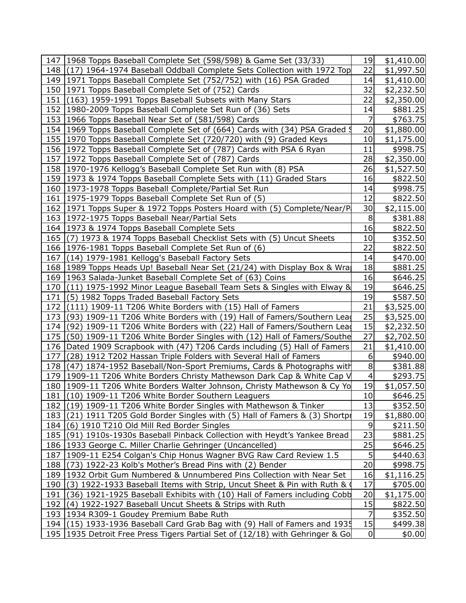| 147   1968 Topps Baseball Complete Set (598/598) & Game Set (33/33)           | 19             | \$1,410.00 |
|-------------------------------------------------------------------------------|----------------|------------|
| 148 (17) 1964-1974 Baseball Oddball Complete Sets Collection with 1972 Top    | 22             | \$1,997.50 |
| 149 1971 Topps Baseball Complete Set (752/752) with (16) PSA Graded           | 14             | \$1,410.00 |
| 150   1971 Topps Baseball Complete Set of (752) Cards                         | 32             | \$2,232.50 |
| 151 (163) 1959-1991 Topps Baseball Subsets with Many Stars                    | 22             | \$2,350.00 |
| 152   1980-2009 Topps Baseball Complete Set Run of (36) Sets                  | 14             | \$881.25   |
| 153   1966 Topps Baseball Near Set of (581/598) Cards                         | 7              | \$763.75   |
| 154 1969 Topps Baseball Complete Set of (664) Cards with (34) PSA Graded 9    | 20             | \$1,880.00 |
| 155 1970 Topps Baseball Complete Set (720/720) with (9) Graded Keys           | 10             | \$1,175.00 |
| 156 1972 Topps Baseball Complete Set of (787) Cards with PSA 6 Ryan           | 11             | \$998.75   |
| 157   1972 Topps Baseball Complete Set of (787) Cards                         | 28             | \$2,350.00 |
| 158   1970-1976 Kellogg's Baseball Complete Set Run with (8) PSA              | 26             | \$1,527.50 |
| 159   1973 & 1974 Topps Baseball Complete Sets with (11) Graded Stars         | 16             | \$822.50   |
| 160   1973-1978 Topps Baseball Complete/Partial Set Run                       | 14             | \$998.75   |
| 161   1975-1979 Topps Baseball Complete Set Run of (5)                        | 12             | \$822.50   |
| 162 1971 Topps Super & 1972 Topps Posters Hoard with (5) Complete/Near/P      | 30             | \$2,115.00 |
| 163   1972-1975 Topps Baseball Near/Partial Sets                              | 8              | \$381.88   |
| 164   1973 & 1974 Topps Baseball Complete Sets                                | 16             | \$822.50   |
| 165 (7) 1973 & 1974 Topps Baseball Checklist Sets with (5) Uncut Sheets       | 10             | \$352.50   |
| 166   1976-1981 Topps Baseball Complete Set Run of (6)                        | 22             | \$822.50   |
| 167 (14) 1979-1981 Kellogg's Baseball Factory Sets                            | 14             | \$470.00   |
| 168 1989 Topps Heads Up! Baseball Near Set (21/24) with Display Box & Wra     | 18             | \$881.25   |
| 169   1963 Salada-Junket Baseball Complete Set of (63) Coins                  | 16             | \$646.25   |
| 170 (11) 1975-1992 Minor League Baseball Team Sets & Singles with Elway &     | 19             | \$646.25   |
| 171 (5) 1982 Topps Traded Baseball Factory Sets                               | 19             | \$587.50   |
| 172 (111) 1909-11 T206 White Borders with (15) Hall of Famers                 | 21             | \$3,525.00 |
| 173 (93) 1909-11 T206 White Borders with (19) Hall of Famers/Southern Lead    | 25             | \$3,525.00 |
| 174 (92) 1909-11 T206 White Borders with (22) Hall of Famers/Southern Leag    | 15             | \$2,232.50 |
| 175 (50) 1909-11 T206 White Border Singles with (12) Hall of Famers/Southe    | 27             | \$2,702.50 |
| 176   Dated 1909 Scrapbook with (47) T206 Cards including (5) Hall of Famers  | 21             | \$1,410.00 |
| 177 (28) 1912 T202 Hassan Triple Folders with Several Hall of Famers          | 6              | \$940.00   |
| 178 (47) 1874-1952 Baseball/Non-Sport Premiums, Cards & Photographs with      | 8              | \$381.88   |
| 179   1909-11 T206 White Borders Christy Mathewson Dark Cap & White Cap V     | $\overline{4}$ | \$293.75   |
| 180   1909-11 T206 White Borders Walter Johnson, Christy Mathewson & Cy Yo    | 19             | \$1,057.50 |
| 181 (10) 1909-11 T206 White Border Southern Leaguers                          | 10             | \$646.25   |
| 182 (19) 1909-11 T206 White Border Singles with Mathewson & Tinker            | 13             | \$352.50   |
| 183 (21) 1911 T205 Gold Border Singles with (5) Hall of Famers & (3) Shortpr  | 19             | \$1,880.00 |
| 184 (6) 1910 T210 Old Mill Red Border Singles                                 | 9              | \$211.50   |
| 185 (91) 1910s-1930s Baseball Pinback Collection with Heydt's Yankee Bread    | 23             | \$881.25   |
| 186   1933 George C. Miller Charlie Gehringer (Uncancelled)                   | 25             | \$646.25   |
| 187   1909-11 E254 Colgan's Chip Honus Wagner BVG Raw Card Review 1.5         | 5              | \$440.63   |
| 188 (73) 1922-23 Kolb's Mother's Bread Pins with (2) Bender                   | 20             | \$998.75   |
| 189   1932 Orbit Gum Numbered & Unnumbered Pins Collection with Near Set      | 16             | \$1,116.25 |
| 190 (3) 1922-1933 Baseball Items with Strip, Uncut Sheet & Pin with Ruth &    | 17             | \$705.00   |
| 191 (36) 1921-1925 Baseball Exhibits with (10) Hall of Famers including Cobb  | 20             | \$1,175.00 |
| 192 (4) 1922-1927 Baseball Uncut Sheets & Strips with Ruth                    | 15             | \$822.50   |
| 193   1934 R309-1 Goudey Premium Babe Ruth                                    | 7              | \$352.50   |
| 194 (15) 1933-1936 Baseball Card Grab Bag with (9) Hall of Famers and 1935    | 15             | \$499.38   |
| 195 1935 Detroit Free Press Tigers Partial Set of (12/18) with Gehringer & Go | 0              | \$0.00]    |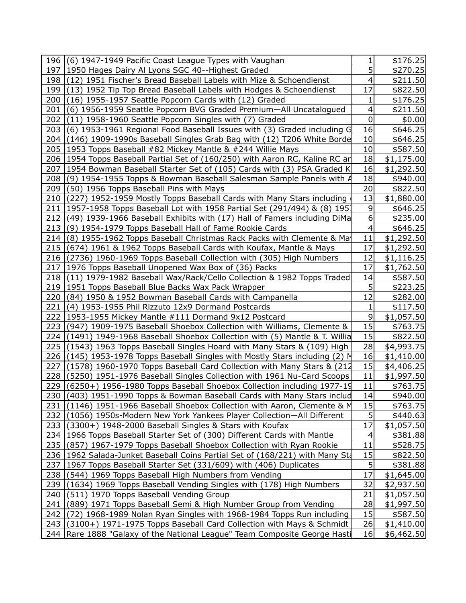|            | 196 (6) 1947-1949 Pacific Coast League Types with Vaughan                                                                                       | 1           | \$176.25                 |
|------------|-------------------------------------------------------------------------------------------------------------------------------------------------|-------------|--------------------------|
|            | 197   1950 Hages Dairy Al Lyons SGC 40--Highest Graded                                                                                          | 5           | \$270.25                 |
|            | 198 (12) 1951 Fischer's Bread Baseball Labels with Mize & Schoendienst                                                                          | 4           | \$211.50                 |
|            | 199 (13) 1952 Tip Top Bread Baseball Labels with Hodges & Schoendienst                                                                          | 17          | \$822.50                 |
|            | 200 (16) 1955-1957 Seattle Popcorn Cards with (12) Graded                                                                                       | 1           | \$176.25                 |
| 201        | (6) 1956-1959 Seattle Popcorn BVG Graded Premium-All Uncatalogued                                                                               | 4           | \$211.50                 |
| 202        | (11) 1958-1960 Seattle Popcorn Singles with (7) Graded                                                                                          | $\mathbf 0$ | \$0.00                   |
| 203        | (6) 1953-1961 Regional Food Baseball Issues with (3) Graded including G                                                                         | 16          | \$646.25                 |
|            | 204 (146) 1909-1990s Baseball Singles Grab Bag with (12) T206 White Borde                                                                       | 10          | \$646.25                 |
|            | 205   1953 Topps Baseball #82 Mickey Mantle & #244 Willie Mays                                                                                  | 10          | \$587.50                 |
|            | 206 1954 Topps Baseball Partial Set of (160/250) with Aaron RC, Kaline RC and                                                                   | 18          | \$1,175.00               |
|            | 207 1954 Bowman Baseball Starter Set of (105) Cards with (3) PSA Graded K                                                                       | 16          | \$1,292.50               |
| 208        | (9) 1954-1955 Topps & Bowman Baseball Salesman Sample Panels with $\beta$                                                                       | 18          | \$940.00                 |
| 209        | (50) 1956 Topps Baseball Pins with Mays                                                                                                         | 20          | \$822.50                 |
|            | 210 (227) 1952-1959 Mostly Topps Baseball Cards with Many Stars including                                                                       | 13          | \$1,880.00               |
|            | 211 1957-1958 Topps Baseball Lot with 1958 Partial Set (291/494) & (8) 1957                                                                     | 9           | \$646.25                 |
| 212        | (49) 1939-1966 Baseball Exhibits with (17) Hall of Famers including DiMa                                                                        | 6           | \$235.00                 |
| 213        | (9) 1954-1979 Topps Baseball Hall of Fame Rookie Cards                                                                                          | 4           | \$646.25                 |
| 214        | (8) 1955-1962 Topps Baseball Christmas Rack Packs with Clemente & May                                                                           | 11          | \$1,292.50               |
| 215        | (674) 1961 & 1962 Topps Baseball Cards with Koufax, Mantle & Mays                                                                               | 17          | \$1,292.50               |
|            | 216 (2736) 1960-1969 Topps Baseball Collection with (305) High Numbers                                                                          | 12          | \$1,116.25               |
| 217        | 1976 Topps Baseball Unopened Wax Box of (36) Packs                                                                                              | 17          | \$1,762.50               |
|            | 218 (11) 1979-1982 Baseball Wax/Rack/Cello Collection & 1982 Topps Traded                                                                       | 14          | \$587.50                 |
|            | 219   1951 Topps Baseball Blue Backs Wax Pack Wrapper                                                                                           | 5           | \$223.25                 |
|            | 220 (84) 1950 & 1952 Bowman Baseball Cards with Campanella                                                                                      | 12          | \$282.00                 |
| 221        | (4) 1953-1955 Phil Rizzuto 12x9 Dormand Postcards                                                                                               | 1           | \$117.50                 |
|            | 222 1953-1955 Mickey Mantle #111 Dormand 9x12 Postcard                                                                                          | 9           | \$1,057.50               |
|            | 223 (947) 1909-1975 Baseball Shoebox Collection with Williams, Clemente &                                                                       | 15          | \$763.75                 |
|            | 224 (1491) 1949-1968 Baseball Shoebox Collection with (5) Mantle & T. Willia                                                                    | 15          | \$822.50                 |
|            | 225 (1543) 1963 Topps Baseball Singles Hoard with Many Stars & (109) High                                                                       | 28<br>16    | \$4,993.75               |
| 226        | $(145)$ 1953-1978 Topps Baseball Singles with Mostly Stars including (2) M                                                                      | 15          | \$1,410.00               |
| 227<br>228 | (1578) 1960-1970 Topps Baseball Card Collection with Many Stars & (212<br>(5250) 1951-1976 Baseball Singles Collection with 1961 Nu-Card Scoops | 11          | \$4,406.25<br>\$1,997.50 |
| 229        | $(6250+)$ 1956-1980 Topps Baseball Shoebox Collection including 1977-19                                                                         | 11          | \$763.75                 |
|            | 230 (403) 1951-1990 Topps & Bowman Baseball Cards with Many Stars includ                                                                        | 14          | \$940.00                 |
|            | 231 (1146) 1951-1966 Baseball Shoebox Collection with Aaron, Clemente & M                                                                       | 15          | \$763.75                 |
|            | 232 (1056) 1950s-Modern New York Yankees Player Collection-All Different                                                                        | 5           | \$440.63                 |
|            | 233 (3300+) 1948-2000 Baseball Singles & Stars with Koufax                                                                                      | 17          | \$1,057.50               |
|            | 234 1966 Topps Baseball Starter Set of (300) Different Cards with Mantle                                                                        | 4           | \$381.88                 |
|            | 235 (857) 1967-1979 Topps Baseball Shoebox Collection with Ryan Rookie                                                                          | 11          | \$528.75                 |
|            | 236 1962 Salada-Junket Baseball Coins Partial Set of (168/221) with Many Sta                                                                    | 15          | \$822.50                 |
|            | 237 1967 Topps Baseball Starter Set (331/609) with (406) Duplicates                                                                             | 5           | \$381.88                 |
|            | 238 (544) 1969 Topps Baseball High Numbers from Vending                                                                                         | 17          | \$1,645.00               |
|            | 239 (1634) 1969 Topps Baseball Vending Singles with (178) High Numbers                                                                          | 32          | \$2,937.50               |
| 240        | (511) 1970 Topps Baseball Vending Group                                                                                                         | 21          | \$1,057.50               |
|            | 241 (889) 1971 Topps Baseball Semi & High Number Group from Vending                                                                             | 28          | \$1,997.50               |
|            | 242 (72) 1968-1989 Nolan Ryan Singles with 1968-1984 Topps Run including                                                                        | 15          | \$587.50                 |
|            | 243 (3100+) 1971-1975 Topps Baseball Card Collection with Mays & Schmidt                                                                        | 26          | \$1,410.00               |
|            | 244   Rare 1888 "Galaxy of the National League" Team Composite George Hasti                                                                     | 16          | \$6,462.50               |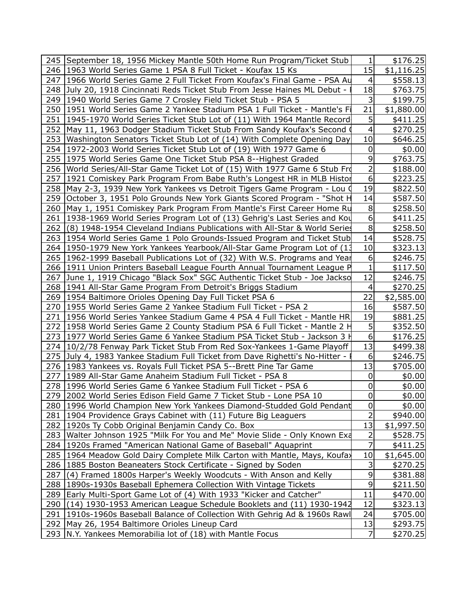|     | 245   September 18, 1956 Mickey Mantle 50th Home Run Program/Ticket Stub       | $\mathbf{1}$            | \$176.25   |  |
|-----|--------------------------------------------------------------------------------|-------------------------|------------|--|
|     | 246   1963 World Series Game 1 PSA 8 Full Ticket - Koufax 15 Ks                | 15                      | \$1,116.25 |  |
|     | 247 1966 World Series Game 2 Full Ticket From Koufax's Final Game - PSA Au     | $\overline{a}$          | \$558.13   |  |
|     | 248 July 20, 1918 Cincinnati Reds Ticket Stub From Jesse Haines ML Debut - I   | 18                      | \$763.75   |  |
|     | 249   1940 World Series Game 7 Crosley Field Ticket Stub - PSA 5               | 3                       | \$199.75   |  |
|     | 250   1951 World Series Game 2 Yankee Stadium PSA 1 Full Ticket - Mantle's Fi  | 21                      | \$1,880.00 |  |
|     | 251   1945-1970 World Series Ticket Stub Lot of (11) With 1964 Mantle Record   | 5                       | \$411.25   |  |
|     | 252 May 11, 1963 Dodger Stadium Ticket Stub From Sandy Koufax's Second (       | $\overline{4}$          | \$270.25   |  |
|     | 253 Washington Senators Ticket Stub Lot of (14) With Complete Opening Day      | 10                      | \$646.25   |  |
|     | 254 1972-2003 World Series Ticket Stub Lot of (19) With 1977 Game 6            | 0                       | \$0.00     |  |
|     | 255   1975 World Series Game One Ticket Stub PSA 8--Highest Graded             | 9                       | \$763.75   |  |
|     | 256   World Series/All-Star Game Ticket Lot of (15) With 1977 Game 6 Stub From | $\overline{2}$          | \$188.00   |  |
|     | 257 1921 Comiskey Park Program From Babe Ruth's Longest HR in MLB Histor       | $6 \overline{6}$        | \$223.25   |  |
|     | 258   May 2-3, 1939 New York Yankees vs Detroit Tigers Game Program - Lou (    | 19                      | \$822.50   |  |
|     | 259 October 3, 1951 Polo Grounds New York Giants Scored Program - "Shot H      | 14                      | \$587.50   |  |
|     | 260 May 1, 1951 Comiskey Park Program From Mantle's First Career Home Ru       | 8                       | \$258.50   |  |
|     | 261   1938-1969 World Series Program Lot of (13) Gehrig's Last Series and Kou  | $\boldsymbol{6}$        | \$411.25   |  |
|     | 262 (8) 1948-1954 Cleveland Indians Publications with All-Star & World Series  | 8                       | \$258.50   |  |
|     | 263   1954 World Series Game 1 Polo Grounds-Issued Program and Ticket Stub     | 14                      | \$528.75   |  |
|     | 264   1950-1979 New York Yankees Yearbook/All-Star Game Program Lot of (13     | 10                      | \$323.13   |  |
|     | 265 1962-1999 Baseball Publications Lot of (32) With W.S. Programs and Year    | $6\,$                   | \$246.75   |  |
|     | 266 1911 Union Printers Baseball League Fourth Annual Tournament League P      | $\mathbf{1}$            | \$117.50   |  |
|     | 267 June 1, 1919 Chicago "Black Sox" SGC Authentic Ticket Stub - Joe Jackso    | 12                      | \$246.75   |  |
|     | 268   1941 All-Star Game Program From Detroit's Briggs Stadium                 | $\overline{\mathbf{4}}$ | \$270.25   |  |
|     | 269   1954 Baltimore Orioles Opening Day Full Ticket PSA 6                     | 22                      | \$2,585.00 |  |
|     | 270   1955 World Series Game 2 Yankee Stadium Full Ticket - PSA 2              | 16                      | \$587.50   |  |
|     | 271   1956 World Series Yankee Stadium Game 4 PSA 4 Full Ticket - Mantle HR    | 19                      | \$881.25   |  |
|     | 272 1958 World Series Game 2 County Stadium PSA 6 Full Ticket - Mantle 2 H     | 5                       | \$352.50   |  |
|     | 273 1977 World Series Game 6 Yankee Stadium PSA Ticket Stub - Jackson 3 H      | 6                       | \$176.25   |  |
|     | 274 10/2/78 Fenway Park Ticket Stub From Red Sox-Yankees 1-Game Playoff        | 13                      | \$499.38   |  |
|     | 275 July 4, 1983 Yankee Stadium Full Ticket from Dave Righetti's No-Hitter -   | 6                       | \$246.75   |  |
|     | 276 1983 Yankees vs. Royals Full Ticket PSA 5--Brett Pine Tar Game             | 13                      | \$705.00   |  |
|     | 277   1989 All-Star Game Anaheim Stadium Full Ticket - PSA 8                   | 0                       | \$0.00     |  |
|     | 278   1996 World Series Game 6 Yankee Stadium Full Ticket - PSA 6              | $\mathbf 0$             | \$0.00     |  |
|     | 279   2002 World Series Edison Field Game 7 Ticket Stub - Lone PSA 10          | $\overline{0}$          | \$0.00]    |  |
|     | 280 1996 World Champion New York Yankees Diamond-Studded Gold Pendant          | $\mathbf 0$             | \$0.00     |  |
|     | 281   1904 Providence Grays Cabinet with (11) Future Big Leaguers              | 2                       | \$940.00   |  |
|     | 282 1920s Ty Cobb Original Benjamin Candy Co. Box                              | 13                      | \$1,997.50 |  |
|     | 283 Walter Johnson 1925 "Milk For You and Me" Movie Slide - Only Known Exa     | 2                       | \$528.75   |  |
|     | 284   1920s Framed "American National Game of Baseball" Aquaprint              | 7                       | \$411.25   |  |
|     | 285 1964 Meadow Gold Dairy Complete Milk Carton with Mantle, Mays, Koufay      | 10                      | \$1,645.00 |  |
|     | 286   1885 Boston Beaneaters Stock Certificate - Signed by Soden               | 3                       | \$270.25   |  |
| 287 | $(4)$ Framed 1800s Harper's Weekly Woodcuts - With Anson and Kelly             | 9                       | \$381.88   |  |
|     | 288 1890s-1930s Baseball Ephemera Collection With Vintage Tickets              | 9                       | \$211.50   |  |
|     | 289 Early Multi-Sport Game Lot of (4) With 1933 "Kicker and Catcher"           | 11                      | \$470.00   |  |
|     | 290 (14) 1930-1953 American League Schedule Booklets and (11) 1930-1942        | 12                      | \$323.13   |  |
|     | 291   1910s-1960s Baseball Balance of Collection With Gehrig Ad & 1960s Rawl   | 24                      | \$705.00   |  |
|     | 292   May 26, 1954 Baltimore Orioles Lineup Card                               | 13                      | \$293.75   |  |
|     | 293   N.Y. Yankees Memorabilia lot of (18) with Mantle Focus                   | $\overline{7}$          | \$270.25   |  |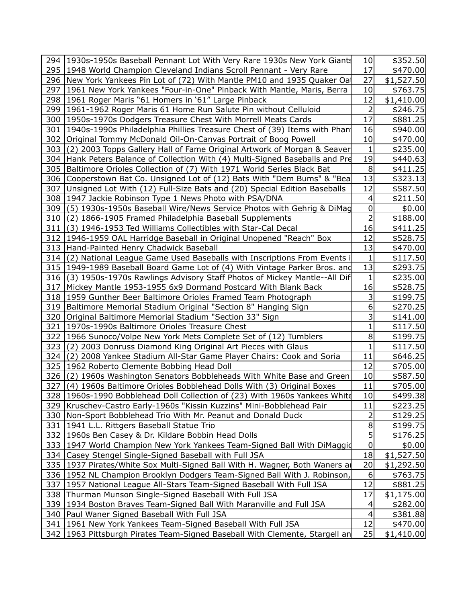|     | 294 1930s-1950s Baseball Pennant Lot With Very Rare 1930s New York Giants     | 10               | \$352.50   |  |
|-----|-------------------------------------------------------------------------------|------------------|------------|--|
|     | 295 1948 World Champion Cleveland Indians Scroll Pennant - Very Rare          | 17               | \$470.00   |  |
|     | 296 New York Yankees Pin Lot of (72) With Mantle PM10 and 1935 Quaker Oat     | 27               | \$1,527.50 |  |
|     | 297 1961 New York Yankees "Four-in-One" Pinback With Mantle, Maris, Berra     | 10               | \$763.75   |  |
|     | 298 1961 Roger Maris "61 Homers in '61" Large Pinback                         | 12               | \$1,410.00 |  |
|     | 299   1961-1962 Roger Maris 61 Home Run Salute Pin without Celluloid          | 2                | \$246.75   |  |
|     | 300 1950s-1970s Dodgers Treasure Chest With Morrell Meats Cards               | 17               | \$881.25   |  |
|     | 301  1940s-1990s Philadelphia Phillies Treasure Chest of (39) Items with Phan | 16               | \$940.00   |  |
|     | 302   Original Tommy McDonald Oil-On-Canvas Portrait of Boog Powell           | 10               | \$470.00   |  |
|     | 303 (2) 2003 Topps Gallery Hall of Fame Original Artwork of Morgan & Seaver   | 1                | \$235.00   |  |
|     | 304 Hank Peters Balance of Collection With (4) Multi-Signed Baseballs and Pre | 19               | \$440.63   |  |
|     | 305 Baltimore Orioles Collection of (7) With 1971 World Series Black Bat      | $\,8\,$          | \$411.25   |  |
|     | 306 Cooperstown Bat Co. Unsigned Lot of (12) Bats With "Dem Bums" & "Bea      | 13               | \$323.13   |  |
|     | 307 Unsigned Lot With (12) Full-Size Bats and (20) Special Edition Baseballs  | 12               | \$587.50   |  |
|     | 308 1947 Jackie Robinson Type 1 News Photo with PSA/DNA                       | 4                | \$211.50   |  |
|     | 309 (5) 1930s-1950s Baseball Wire/News Service Photos with Gehrig & DiMag     | 0                | \$0.00     |  |
|     | 310 (2) 1866-1905 Framed Philadelphia Baseball Supplements                    | $\overline{2}$   | \$188.00   |  |
| 311 | (3) 1946-1953 Ted Williams Collectibles with Star-Cal Decal                   | 16               | \$411.25   |  |
|     | 312 1946-1959 OAL Harridge Baseball in Original Unopened "Reach" Box          | 12               | \$528.75   |  |
|     | 313 Hand-Painted Henry Chadwick Baseball                                      | 13               | \$470.00   |  |
|     | 314 (2) National League Game Used Baseballs with Inscriptions From Events i   | 1                | \$117.50   |  |
|     | 315 1949-1989 Baseball Board Game Lot of (4) With Vintage Parker Bros. and    | 13               | \$293.75   |  |
|     | 316 (3) 1950s-1970s Rawlings Advisory Staff Photos of Mickey Mantle--All Dif  | 1                | \$235.00   |  |
|     | 317 Mickey Mantle 1953-1955 6x9 Dormand Postcard With Blank Back              | 16               | \$528.75   |  |
|     | 318 1959 Gunther Beer Baltimore Orioles Framed Team Photograph                | 3                | \$199.75   |  |
|     | 319   Baltimore Memorial Stadium Original "Section 8" Hanging Sign            | 6                | \$270.25   |  |
|     | 320   Original Baltimore Memorial Stadium "Section 33" Sign                   | 3                | \$141.00   |  |
|     | 321   1970s-1990s Baltimore Orioles Treasure Chest                            | 1                | \$117.50   |  |
|     | 322 1966 Sunoco/Volpe New York Mets Complete Set of (12) Tumblers             | 8                | \$199.75   |  |
| 323 | (2) 2003 Donruss Diamond King Original Art Pieces with Glaus                  | 1                | \$117.50   |  |
| 324 | (2) 2008 Yankee Stadium All-Star Game Player Chairs: Cook and Soria           | 11               | \$646.25   |  |
|     | 325   1962 Roberto Clemente Bobbing Head Doll                                 | 12               | \$705.00   |  |
|     | 326 (2) 1960s Washington Senators Bobbleheads With White Base and Green       | 10               | \$587.50   |  |
| 327 | (4) 1960s Baltimore Orioles Bobblehead Dolls With (3) Original Boxes          | 11               | \$705.00   |  |
|     | 328 1960s-1990 Bobblehead Doll Collection of (23) With 1960s Yankees White    | $10$             | \$499.38   |  |
|     | 329   Kruschev-Castro Early-1960s "Kissin Kuzzins" Mini-Bobblehead Pair       | 11               | \$223.25   |  |
|     | 330 Non-Sport Bobblehead Trio With Mr. Peanut and Donald Duck                 | 2                | \$129.25   |  |
|     | 331   1941 L.L. Rittgers Baseball Statue Trio                                 | 8                | \$199.75   |  |
|     | 332   1960s Ben Casey & Dr. Kildare Bobbin Head Dolls                         | 5                | \$176.25   |  |
|     | 333 1947 World Champion New York Yankees Team-Signed Ball With DiMaggid       | 0                | \$0.00     |  |
|     | 334 Casey Stengel Single-Signed Baseball with Full JSA                        | 18               | \$1,527.50 |  |
|     | 335 1937 Pirates/White Sox Multi-Signed Ball With H. Wagner, Both Waners ar   | 20               | \$1,292.50 |  |
|     | 336 1952 NL Champion Brooklyn Dodgers Team-Signed Ball With J. Robinson,      | $\boldsymbol{6}$ | \$763.75   |  |
|     | 337 1957 National League All-Stars Team-Signed Baseball With Full JSA         | 12               | \$881.25   |  |
|     | 338 Thurman Munson Single-Signed Baseball With Full JSA                       | 17               | \$1,175.00 |  |
|     | 339   1934 Boston Braves Team-Signed Ball With Maranville and Full JSA        | 4                | \$282.00   |  |
|     | 340   Paul Waner Signed Baseball With Full JSA                                | 4                | \$381.88   |  |
|     | 341   1961 New York Yankees Team-Signed Baseball With Full JSA                | 12               | \$470.00   |  |
|     | 342 1963 Pittsburgh Pirates Team-Signed Baseball With Clemente, Stargell an   | 25               | \$1,410.00 |  |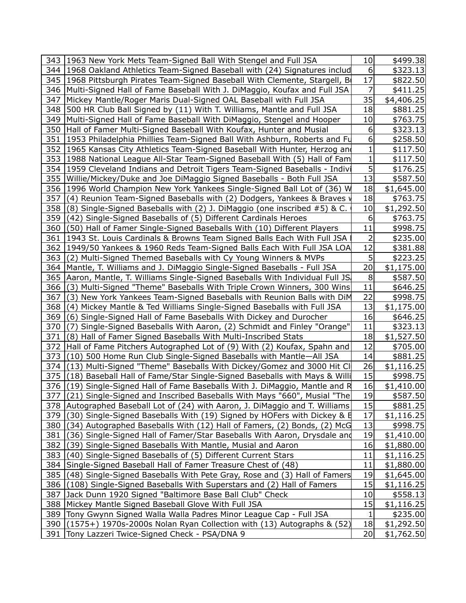|            | 343 1963 New York Mets Team-Signed Ball With Stengel and Full JSA                                                                                   | 10       | \$499.38                 |  |
|------------|-----------------------------------------------------------------------------------------------------------------------------------------------------|----------|--------------------------|--|
|            | 344 1968 Oakland Athletics Team-Signed Baseball with (24) Signatures includ                                                                         | 6        | \$323.13                 |  |
|            | 345 1968 Pittsburgh Pirates Team-Signed Baseball With Clemente, Stargell, B                                                                         | 17       | \$822.50                 |  |
|            | 346   Multi-Signed Hall of Fame Baseball With J. DiMaggio, Koufax and Full JSA                                                                      |          | \$411.25                 |  |
|            | 347 Mickey Mantle/Roger Maris Dual-Signed OAL Baseball with Full JSA                                                                                | 35       | \$4,406.25               |  |
|            | 348 500 HR Club Ball Signed by (11) With T. Williams, Mantle and Full JSA                                                                           | 18       | \$881.25                 |  |
| 349        | Multi-Signed Hall of Fame Baseball With DiMaggio, Stengel and Hooper                                                                                | 10       | \$763.75                 |  |
|            | 350   Hall of Famer Multi-Signed Baseball With Koufax, Hunter and Musial                                                                            | 6        | \$323.13                 |  |
|            | 351 1953 Philadelphia Phillies Team-Signed Ball With Ashburn, Roberts and Fu                                                                        | 6        | \$258.50                 |  |
|            | 352 1965 Kansas City Athletics Team-Signed Baseball With Hunter, Herzog and                                                                         | 1        | \$117.50                 |  |
|            | 353 1988 National League All-Star Team-Signed Baseball With (5) Hall of Fam                                                                         | 1        | \$117.50                 |  |
|            | 354 1959 Cleveland Indians and Detroit Tigers Team-Signed Baseballs - Indivi                                                                        | 5        | \$176.25                 |  |
| 355        | Willie/Mickey/Duke and Joe DiMaggio Signed Baseballs - Both Full JSA                                                                                | 13       | \$587.50                 |  |
|            | 356 1996 World Champion New York Yankees Single-Signed Ball Lot of (36) W                                                                           | 18       | \$1,645.00               |  |
| 357        | (4) Reunion Team-Signed Baseballs with (2) Dodgers, Yankees & Braves v                                                                              | 18       | \$763.75                 |  |
| 358        | (8) Single-Signed Baseballs with (2) J. DiMaggio (one inscribed #5) & C.                                                                            | 10       | \$1,292.50               |  |
| 359        | (42) Single-Signed Baseballs of (5) Different Cardinals Heroes                                                                                      | 6        | \$763.75                 |  |
| 360        | (50) Hall of Famer Single-Signed Baseballs With (10) Different Players                                                                              | 11       | \$998.75                 |  |
| 361        | 1943 St. Louis Cardinals & Browns Team Signed Balls Each With Full JSA                                                                              | 2        | \$235.00                 |  |
| 362        | 1949/50 Yankees & 1960 Reds Team-Signed Balls Each With Full JSA LOA                                                                                | 12       | \$381.88                 |  |
| 363        | (2) Multi-Signed Themed Baseballs with Cy Young Winners & MVPs                                                                                      | 5        | \$223.25                 |  |
| 364        | Mantle, T. Williams and J. DiMaggio Single-Signed Baseballs - Full JSA                                                                              | 20       | \$1,175.00               |  |
| 365        | Aaron, Mantle, T. Williams Single-Signed Baseballs With Individual Full JS.                                                                         | 8        | \$587.50                 |  |
| 366        | (3) Multi-Signed "Theme" Baseballs With Triple Crown Winners, 300 Wins                                                                              | 11       | \$646.25                 |  |
| 367        | (3) New York Yankees Team-Signed Baseballs with Reunion Balls with DiM                                                                              | 22       | \$998.75                 |  |
| 368        | (4) Mickey Mantle & Ted Williams Single-Signed Baseballs with Full JSA                                                                              | 13       | \$1,175.00               |  |
| 369        | (6) Single-Signed Hall of Fame Baseballs With Dickey and Durocher                                                                                   | 16       | \$646.25                 |  |
| 370        | (7) Single-Signed Baseballs With Aaron, (2) Schmidt and Finley "Orange"                                                                             | 11       | \$323.13                 |  |
| 371        | (8) Hall of Famer Signed Baseballs With Multi-Inscribed Stats                                                                                       | 18       | \$1,527.50               |  |
| 372        | Hall of Fame Pitchers Autographed Lot of (9) With (2) Koufax, Spahn and                                                                             | 12       | \$705.00                 |  |
| 373        | (10) 500 Home Run Club Single-Signed Baseballs with Mantle-All JSA                                                                                  | 14       | \$881.25                 |  |
| 374        | (13) Multi-Signed "Theme" Baseballs With Dickey/Gomez and 3000 Hit Cl                                                                               | 26       | \$1,116.25               |  |
| 375        | (18) Baseball Hall of Fame/Star Single-Signed Baseballs with Mays & Willi                                                                           | 15       | \$998.75                 |  |
| 376        | (19) Single-Signed Hall of Fame Baseballs With J. DiMaggio, Mantle and R                                                                            | 16       | \$1,410.00               |  |
|            | 377 (21) Single-Signed and Inscribed Baseballs With Mays "660", Musial "The                                                                         | 19       | \$587.50                 |  |
|            | 378 Autographed Baseball Lot of (24) with Aaron, J. DiMaggio and T. Williams                                                                        | 15       | \$881.25                 |  |
| 379<br>380 | (30) Single-Signed Baseballs With (19) Signed by HOFers with Dickey & E                                                                             | 17<br>13 | \$1,116.25               |  |
| 381        | (34) Autographed Baseballs With (12) Hall of Famers, (2) Bonds, (2) McG<br>(36) Single-Signed Hall of Famer/Star Baseballs With Aaron, Drysdale and | 19       | \$998.75                 |  |
| 382        |                                                                                                                                                     | 16       | \$1,410.00<br>\$1,880.00 |  |
| 383        | (39) Single-Signed Baseballs With Mantle, Musial and Aaron<br>(40) Single-Signed Baseballs of (5) Different Current Stars                           | 11       | \$1,116.25               |  |
| 384        | Single-Signed Baseball Hall of Famer Treasure Chest of (48)                                                                                         | 11       | \$1,880.00               |  |
| 385        | (48) Single-Signed Baseballs With Pete Gray, Rose and (3) Hall of Famers                                                                            | 19       | \$1,645.00               |  |
| 386        | (108) Single-Signed Baseballs With Superstars and (2) Hall of Famers                                                                                | 15       | \$1,116.25               |  |
| 387        | Jack Dunn 1920 Signed "Baltimore Base Ball Club" Check                                                                                              | 10       | \$558.13                 |  |
|            | 388 Mickey Mantle Signed Baseball Glove With Full JSA                                                                                               | 15       | \$1,116.25               |  |
| 389        | Tony Gwynn Signed Walla Walla Padres Minor League Cap - Full JSA                                                                                    | 1        | \$235.00                 |  |
| 390        | $(1575+)$ 1970s-2000s Nolan Ryan Collection with $(13)$ Autographs & $(52)$                                                                         | 18       | \$1,292.50               |  |
| 391        | Tony Lazzeri Twice-Signed Check - PSA/DNA 9                                                                                                         | 20       | \$1,762.50               |  |
|            |                                                                                                                                                     |          |                          |  |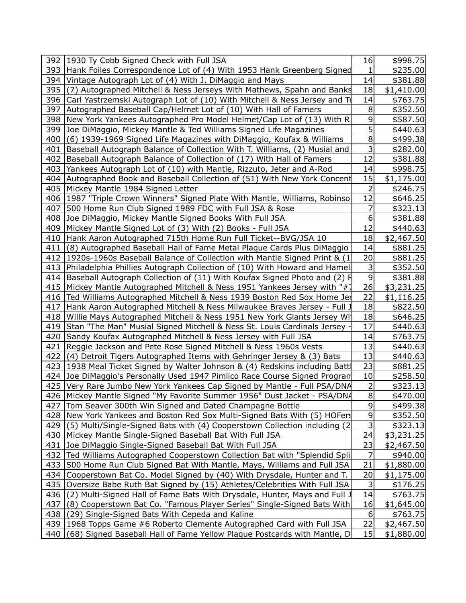|     | 392   1930 Ty Cobb Signed Check with Full JSA                                   | 16          | \$998.75   |  |
|-----|---------------------------------------------------------------------------------|-------------|------------|--|
|     | 393 Hank Foiles Correspondence Lot of (4) With 1953 Hank Greenberg Signed       | 1           | \$235.00   |  |
|     | 394 Vintage Autograph Lot of (4) With J. DiMaggio and Mays                      | 14          | \$381.88   |  |
| 395 | (7) Autographed Mitchell & Ness Jerseys With Mathews, Spahn and Banks           | 18          | \$1,410.00 |  |
| 396 | Carl Yastrzemski Autograph Lot of (10) With Mitchell & Ness Jersey and Tr       | 14          | \$763.75   |  |
|     | 397 Autographed Baseball Cap/Helmet Lot of (10) With Hall of Famers             | 8           | \$352.50   |  |
|     | 398 New York Yankees Autographed Pro Model Helmet/Cap Lot of (13) With R.       | 9           | \$587.50   |  |
|     | 399 Joe DiMaggio, Mickey Mantle & Ted Williams Signed Life Magazines            | 5           | \$440.63   |  |
| 400 | (6) 1939-1969 Signed Life Magazines with DiMaggio, Koufax & Williams            | 8           | \$499.38   |  |
|     | 401   Baseball Autograph Balance of Collection With T. Williams, (2) Musial and | 3           | \$282.00   |  |
|     | 402   Baseball Autograph Balance of Collection of (17) With Hall of Famers      | 12          | \$381.88   |  |
|     | 403   Yankees Autograph Lot of (10) with Mantle, Rizzuto, Jeter and A-Rod       | 14          | \$998.75   |  |
|     | 404 Autographed Book and Baseball Collection of (51) With New York Concent      | 15          | \$1,175.00 |  |
|     | 405   Mickey Mantle 1984 Signed Letter                                          | 2           | \$246.75   |  |
|     | 406   1987 "Triple Crown Winners" Signed Plate With Mantle, Williams, Robinsor  | 12          | \$646.25   |  |
|     | 407 500 Home Run Club Signed 1989 FDC with Full JSA & Rose                      | 7           | \$323.13   |  |
|     | 408 Joe DiMaggio, Mickey Mantle Signed Books With Full JSA                      | 6           | \$381.88   |  |
|     | 409   Mickey Mantle Signed Lot of (3) With (2) Books - Full JSA                 | 12          | \$440.63   |  |
|     | 410 Hank Aaron Autographed 715th Home Run Full Ticket--BVG/JSA 10               | 18          | \$2,467.50 |  |
| 411 | (8) Autographed Baseball Hall of Fame Metal Plaque Cards Plus DiMaggio          | 14          | \$881.25   |  |
|     | 412   1920s-1960s Baseball Balance of Collection with Mantle Signed Print & (1) | 20          | \$881.25   |  |
|     | 413   Philadelphia Phillies Autograph Collection of (10) With Howard and Hamel  | 3           | \$352.50   |  |
|     | 414   Baseball Autograph Collection of (11) With Koufax Signed Photo and (2) R  | $\mathsf 9$ | \$381.88   |  |
|     | 415   Mickey Mantle Autographed Mitchell & Ness 1951 Yankees Jersey with "#7    | 26          | \$3,231.25 |  |
| 416 | Ted Williams Autographed Mitchell & Ness 1939 Boston Red Sox Home Jer           | 22          | \$1,116.25 |  |
|     | 417   Hank Aaron Autographed Mitchell & Ness Milwaukee Braves Jersey - Full J   | 18          | \$822.50   |  |
|     | 418   Willie Mays Autographed Mitchell & Ness 1951 New York Giants Jersey Wit   | 18          | \$646.25   |  |
|     | 419 Stan "The Man" Musial Signed Mitchell & Ness St. Louis Cardinals Jersey     | 17          | \$440.63   |  |
|     | 420 Sandy Koufax Autographed Mitchell & Ness Jersey with Full JSA               | 14          | \$763.75   |  |
| 421 | Reggie Jackson and Pete Rose Signed Mitchell & Ness 1960s Vests                 | 13          | \$440.63   |  |
| 422 | (4) Detroit Tigers Autographed Items with Gehringer Jersey & (3) Bats           | 13          | \$440.63   |  |
|     | 423 1938 Meal Ticket Signed by Walter Johnson & (4) Redskins including Batt     | 23          | \$881.25   |  |
| 424 | Joe DiMaggio's Personally Used 1947 Pimlico Race Course Signed Program          | 10          | \$258.50   |  |
|     | 425   Very Rare Jumbo New York Yankees Cap Signed by Mantle - Full PSA/DNA      | 2           | \$323.13   |  |
|     | 426   Mickey Mantle Signed "My Favorite Summer 1956" Dust Jacket - PSA/DNA      | $\infty$    | \$470.00   |  |
| 427 | Tom Seaver 300th Win Signed and Dated Champagne Bottle                          | 9           | \$499.38   |  |
|     | 428 New York Yankees and Boston Red Sox Multi-Signed Bats With (5) HOFers       | 9           | \$352.50   |  |
| 429 | (5) Multi/Single-Signed Bats with (4) Cooperstown Collection including (2)      | 3           | \$323.13   |  |
|     | 430 Mickey Mantle Single-Signed Baseball Bat With Full JSA                      | 24          | \$3,231.25 |  |
| 431 | Joe DiMaggio Single-Signed Baseball Bat With Full JSA                           | 23          | \$2,467.50 |  |
| 432 | Ted Williams Autographed Cooperstown Collection Bat with "Splendid Spli         | 7           | \$940.00   |  |
| 433 | 500 Home Run Club Signed Bat With Mantle, Mays, Williams and Full JSA           | 21          | \$1,880.00 |  |
| 434 | Cooperstown Bat Co. Model Signed by (40) With Drysdale, Hunter and T.           | 20          | \$1,175.00 |  |
| 435 | Oversize Babe Ruth Bat Signed by (15) Athletes/Celebrities With Full JSA        | 3           | \$176.25   |  |
| 436 | (2) Multi-Signed Hall of Fame Bats With Drysdale, Hunter, Mays and Full J       | 14          | \$763.75   |  |
| 437 | (8) Cooperstown Bat Co. "Famous Player Series" Single-Signed Bats With          | 16          | \$1,645.00 |  |
| 438 | (29) Single-Signed Bats With Cepeda and Kaline                                  | 6           | \$763.75   |  |
| 439 | 1968 Topps Game #6 Roberto Clemente Autographed Card with Full JSA              | 22          | \$2,467.50 |  |
| 440 | (68) Signed Baseball Hall of Fame Yellow Plaque Postcards with Mantle, D        | 15          | \$1,880.00 |  |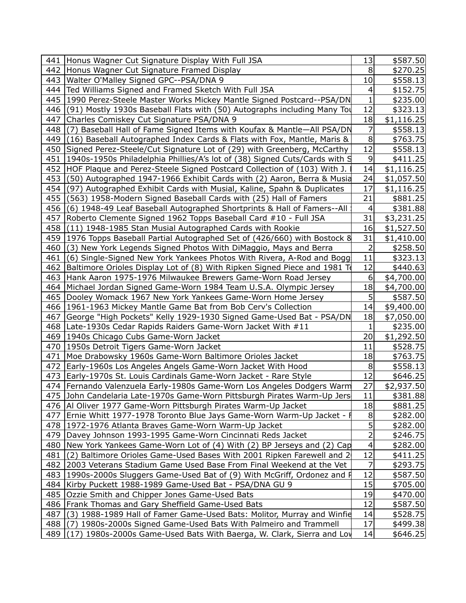|     | 441 Honus Wagner Cut Signature Display With Full JSA                          | 13             | \$587.50    |
|-----|-------------------------------------------------------------------------------|----------------|-------------|
|     | 442 Honus Wagner Cut Signature Framed Display                                 | 8              | \$270.25    |
|     | 443   Walter O'Malley Signed GPC--PSA/DNA 9                                   | 10             | \$558.13    |
|     | 444   Ted Williams Signed and Framed Sketch With Full JSA                     | 4              | \$152.75    |
|     | 445   1990 Perez-Steele Master Works Mickey Mantle Signed Postcard--PSA/DN    | 1              | \$235.00    |
|     | 446 (91) Mostly 1930s Baseball Flats with (50) Autographs including Many Tou  | 12             | \$323.13    |
| 447 | Charles Comiskey Cut Signature PSA/DNA 9                                      | 18             | \$1,116.25  |
| 448 | Baseball Hall of Fame Signed Items with Koufax & Mantle-All PSA/DN<br>(7)     | 7              | \$558.13    |
|     | 449 (16) Baseball Autographed Index Cards & Flats with Fox, Mantle, Maris &   | 8              | \$763.75    |
|     | 450 Signed Perez-Steele/Cut Signature Lot of (29) with Greenberg, McCarthy    | 12             | \$558.13    |
| 451 | 1940s-1950s Philadelphia Phillies/A's lot of (38) Signed Cuts/Cards with 9    | 9              | \$411.25    |
|     | 452 HOF Plaque and Perez-Steele Signed Postcard Collection of (103) With J.   | 14             | \$1,116.25  |
| 453 | (50) Autographed 1947-1966 Exhibit Cards with (2) Aaron, Berra & Musia        | 24             | \$1,057.50  |
| 454 | (97) Autographed Exhibit Cards with Musial, Kaline, Spahn & Duplicates        | 17             | \$1,116.25  |
| 455 | (563) 1958-Modern Signed Baseball Cards with (25) Hall of Famers              | 21             | \$881.25    |
|     | 456 (6) 1948-49 Leaf Baseball Autographed Shortprints & Hall of Famers--All   | 4              | \$381.88    |
|     | 457   Roberto Clemente Signed 1962 Topps Baseball Card #10 - Full JSA         | 31             | \$3,231.25  |
|     | 458 (11) 1948-1985 Stan Musial Autographed Cards with Rookie                  | 16             | \$1,527.50  |
|     | 459 1976 Topps Baseball Partial Autographed Set of (426/660) with Bostock 8   | 31             | \$1,410.00  |
|     | 460 (3) New York Legends Signed Photos With DiMaggio, Mays and Berra          | $\overline{c}$ | \$258.50    |
| 461 | (6) Single-Signed New York Yankees Photos With Rivera, A-Rod and Bogg         | 11             | \$323.13    |
|     | 462 Baltimore Orioles Display Lot of (8) With Ripken Signed Piece and 1981 To | 12             | \$440.63    |
|     | 463 Hank Aaron 1975-1976 Milwaukee Brewers Game-Worn Road Jersey              | 6              | \$4,700.00  |
|     | 464   Michael Jordan Signed Game-Worn 1984 Team U.S.A. Olympic Jersey         | 18             | \$4,700.00  |
|     | 465 Dooley Womack 1967 New York Yankees Game-Worn Home Jersey                 | 5              | \$587.50    |
|     | 466   1961-1963 Mickey Mantle Game Bat from Bob Cerv's Collection             | 14             | \$9,400.00] |
|     | 467 George "High Pockets" Kelly 1929-1930 Signed Game-Used Bat - PSA/DN       | 18             | \$7,050.00  |
|     | 468   Late-1930s Cedar Rapids Raiders Game-Worn Jacket With #11               | 1              | \$235.00    |
|     | 469   1940s Chicago Cubs Game-Worn Jacket                                     | 20             | \$1,292.50  |
|     | 470   1950s Detroit Tigers Game-Worn Jacket                                   | 11             | \$528.75    |
|     | 471   Moe Drabowsky 1960s Game-Worn Baltimore Orioles Jacket                  | 18             | \$763.75    |
|     | 472   Early-1960s Los Angeles Angels Game-Worn Jacket With Hood               | 8              | \$558.13    |
|     | 473   Early-1970s St. Louis Cardinals Game-Worn Jacket - Rare Style           | 12             | \$646.25    |
|     | 474   Fernando Valenzuela Early-1980s Game-Worn Los Angeles Dodgers Warm      | 27             | \$2,937.50  |
|     | 475 John Candelaria Late-1970s Game-Worn Pittsburgh Pirates Warm-Up Jers      | <u>11</u>      | \$381.88    |
|     | 476   Al Oliver 1977 Game-Worn Pittsburgh Pirates Warm-Up Jacket              | 18             | \$881.25    |
|     | 477   Ernie Whitt 1977-1978 Toronto Blue Jays Game-Worn Warm-Up Jacket - f    | 8              | \$282.00    |
|     | 478   1972-1976 Atlanta Braves Game-Worn Warm-Up Jacket                       | 5              | \$282.00∣   |
|     | 479   Davey Johnson 1993-1995 Game-Worn Cincinnati Reds Jacket                | $\overline{2}$ | \$246.75    |
|     | 480   New York Yankees Game-Worn Lot of (4) With (2) BP Jerseys and (2) Cap   | 4              | \$282.00∣   |
|     | 481 (2) Baltimore Orioles Game-Used Bases With 2001 Ripken Farewell and 2     | 12             | \$411.25    |
|     | 482 2003 Veterans Stadium Game Used Base From Final Weekend at the Vet        | 7              | \$293.75    |
|     | 483   1990s-2000s Sluggers Game-Used Bat of (9) With McGriff, Ordonez and F   | 12             | \$587.50    |
|     | 484 Kirby Puckett 1988-1989 Game-Used Bat - PSA/DNA GU 9                      | 15             | \$705.00    |
|     | 485   Ozzie Smith and Chipper Jones Game-Used Bats                            | 19             | \$470.00    |
|     | 486   Frank Thomas and Gary Sheffield Game-Used Bats                          | 12             | \$587.50    |
| 487 | (3) 1988-1989 Hall of Famer Game-Used Bats: Molitor, Murray and Winfie        | 14             | \$528.75    |
|     | 488 (7) 1980s-2000s Signed Game-Used Bats With Palmeiro and Trammell          | 17             | \$499.38    |
| 489 | (17) 1980s-2000s Game-Used Bats With Baerga, W. Clark, Sierra and Loy         | 14             | \$646.25    |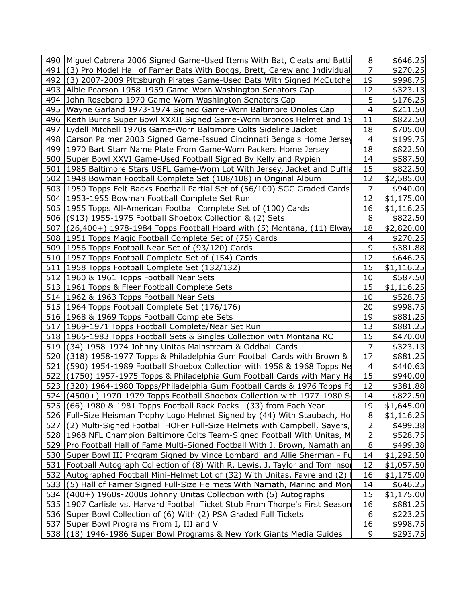| 7<br>491 (3) Pro Model Hall of Famer Bats With Boggs, Brett, Carew and Individual<br>\$270.25<br>492 (3) 2007-2009 Pittsburgh Pirates Game-Used Bats With Signed McCutche<br>19<br>\$998.75<br>12<br>493 Albie Pearson 1958-1959 Game-Worn Washington Senators Cap<br>\$323.13<br>5<br>494 John Roseboro 1970 Game-Worn Washington Senators Cap<br>\$176.25<br>495   Wayne Garland 1973-1974 Signed Game-Worn Baltimore Orioles Cap<br>4<br>\$211.50<br>11<br>496   Keith Burns Super Bowl XXXII Signed Game-Worn Broncos Helmet and 19<br>\$822.50<br>18<br>497   Lydell Mitchell 1970s Game-Worn Baltimore Colts Sideline Jacket<br>\$705.00<br>\$199.75<br>498 Carson Palmer 2003 Signed Game-Issued Cincinnati Bengals Home Jersey<br>4<br>18<br>499 1970 Bart Starr Name Plate From Game-Worn Packers Home Jersey<br>\$822.50<br>\$587.50<br>500 Super Bowl XXVI Game-Used Football Signed By Kelly and Rypien<br>14<br>15<br>501 1985 Baltimore Stars USFL Game-Worn Lot With Jersey, Jacket and Duffle<br>\$822.50<br>12<br>502   1948 Bowman Football Complete Set (108/108) in Original Album<br>\$2,585.00<br>7<br>503 1950 Topps Felt Backs Football Partial Set of (56/100) SGC Graded Cards<br>\$940.00<br>504   1953-1955 Bowman Football Complete Set Run<br>12<br>\$1,175.00<br>505 1955 Topps All-American Football Complete Set of (100) Cards<br>16<br>\$1,116.25<br>8<br>506 (913) 1955-1975 Football Shoebox Collection & (2) Sets<br>\$822.50<br>507 (26,400+) 1978-1984 Topps Football Hoard with (5) Montana, (11) Elway<br>18<br>\$2,820.00<br>508 1951 Topps Magic Football Complete Set of (75) Cards<br>4<br>\$270.25<br>9<br>509 1956 Topps Football Near Set of (93/120) Cards<br>\$381.88<br>510 1957 Topps Football Complete Set of (154) Cards<br>12<br>\$646.25<br>511   1958 Topps Football Complete Set (132/132)<br>15<br>\$1,116.25<br>512   1960 & 1961 Topps Football Near Sets<br>10<br>\$587.50<br>513   1961 Topps & Fleer Football Complete Sets<br>15<br>\$1,116.25<br>10<br>\$528.75<br>514   1962 & 1963 Topps Football Near Sets<br>20<br>515   1964 Topps Football Complete Set (176/176)<br>\$998.75<br>516   1968 & 1969 Topps Football Complete Sets<br>19<br>\$881.25<br>517   1969-1971 Topps Football Complete/Near Set Run<br>13<br>\$881.25<br>15<br>518 1965-1983 Topps Football Sets & Singles Collection with Montana RC<br>\$470.00<br>519 (34) 1958-1974 Johnny Unitas Mainstream & Oddball Cards<br>7<br>\$323.13<br>17<br>520 (318) 1958-1977 Topps & Philadelphia Gum Football Cards with Brown &<br>\$881.25<br>521 (590) 1954-1989 Football Shoebox Collection with 1958 & 1968 Topps Ne<br>4<br>\$440.63<br>15<br>522 (1750) 1957-1975 Topps & Philadelphia Gum Football Cards with Many Ha<br>\$940.00<br>12<br>523 (320) 1964-1980 Topps/Philadelphia Gum Football Cards & 1976 Topps Fd<br>\$381.88<br>14<br>524 (4500+) 1970-1979 Topps Football Shoebox Collection with 1977-1980 S<br>\$822.50<br>525 $(66)$ 1980 & 1981 Topps Football Rack Packs- $(33)$ from Each Year<br>19<br>\$1,645.00<br>8<br>526 Full-Size Heisman Trophy Logo Helmet Signed by (44) With Staubach, Ho<br>\$1,116.25<br>527 (2) Multi-Signed Football HOFer Full-Size Helmets with Campbell, Sayers,<br>\$499.38<br>2<br>528   1968 NFL Champion Baltimore Colts Team-Signed Football With Unitas, M<br>\$528.75<br>8<br>529 Pro Football Hall of Fame Multi-Signed Football With J. Brown, Namath an<br>\$499.38<br>530 Super Bowl III Program Signed by Vince Lombardi and Allie Sherman - Fu<br>14<br>\$1,292.50<br>12<br>531   Football Autograph Collection of (8) With R. Lewis, J. Taylor and Tomlinsor<br>\$1,057.50<br>532 Autographed Football Mini-Helmet Lot of (32) With Unitas, Favre and (2)<br>16<br>\$1,175.00<br>14<br>533 (5) Hall of Famer Signed Full-Size Helmets With Namath, Marino and Mon<br>\$646.25<br>534 (400+) 1960s-2000s Johnny Unitas Collection with (5) Autographs<br>15<br>\$1,175.00<br>535 1907 Carlisle vs. Harvard Football Ticket Stub From Thorpe's First Season<br>16<br>\$881.25<br>536   Super Bowl Collection of (6) With (2) PSA Graded Full Tickets<br>\$223.25<br>6<br>537   Super Bowl Programs From I, III and V<br>16<br>\$998.75<br>538 (18) 1946-1986 Super Bowl Programs & New York Giants Media Guides<br>9<br>\$293.75 | 490 Miguel Cabrera 2006 Signed Game-Used Items With Bat, Cleats and Batti | 8 | \$646.25 |  |
|-------------------------------------------------------------------------------------------------------------------------------------------------------------------------------------------------------------------------------------------------------------------------------------------------------------------------------------------------------------------------------------------------------------------------------------------------------------------------------------------------------------------------------------------------------------------------------------------------------------------------------------------------------------------------------------------------------------------------------------------------------------------------------------------------------------------------------------------------------------------------------------------------------------------------------------------------------------------------------------------------------------------------------------------------------------------------------------------------------------------------------------------------------------------------------------------------------------------------------------------------------------------------------------------------------------------------------------------------------------------------------------------------------------------------------------------------------------------------------------------------------------------------------------------------------------------------------------------------------------------------------------------------------------------------------------------------------------------------------------------------------------------------------------------------------------------------------------------------------------------------------------------------------------------------------------------------------------------------------------------------------------------------------------------------------------------------------------------------------------------------------------------------------------------------------------------------------------------------------------------------------------------------------------------------------------------------------------------------------------------------------------------------------------------------------------------------------------------------------------------------------------------------------------------------------------------------------------------------------------------------------------------------------------------------------------------------------------------------------------------------------------------------------------------------------------------------------------------------------------------------------------------------------------------------------------------------------------------------------------------------------------------------------------------------------------------------------------------------------------------------------------------------------------------------------------------------------------------------------------------------------------------------------------------------------------------------------------------------------------------------------------------------------------------------------------------------------------------------------------------------------------------------------------------------------------------------------------------------------------------------------------------------------------------------------------------------------------------------------------------------------------------------------------------------------------------------------------------------------------------------------------------------------------------------------------------------------------------------------------------------------------------------------------------------------------------------------------------------------------------------------------------------------------------------------------------------------------------------------------------------------------------------------------------------------------------------------------|---------------------------------------------------------------------------|---|----------|--|
|                                                                                                                                                                                                                                                                                                                                                                                                                                                                                                                                                                                                                                                                                                                                                                                                                                                                                                                                                                                                                                                                                                                                                                                                                                                                                                                                                                                                                                                                                                                                                                                                                                                                                                                                                                                                                                                                                                                                                                                                                                                                                                                                                                                                                                                                                                                                                                                                                                                                                                                                                                                                                                                                                                                                                                                                                                                                                                                                                                                                                                                                                                                                                                                                                                                                                                                                                                                                                                                                                                                                                                                                                                                                                                                                                                                                                                                                                                                                                                                                                                                                                                                                                                                                                                                                                                                                     |                                                                           |   |          |  |
|                                                                                                                                                                                                                                                                                                                                                                                                                                                                                                                                                                                                                                                                                                                                                                                                                                                                                                                                                                                                                                                                                                                                                                                                                                                                                                                                                                                                                                                                                                                                                                                                                                                                                                                                                                                                                                                                                                                                                                                                                                                                                                                                                                                                                                                                                                                                                                                                                                                                                                                                                                                                                                                                                                                                                                                                                                                                                                                                                                                                                                                                                                                                                                                                                                                                                                                                                                                                                                                                                                                                                                                                                                                                                                                                                                                                                                                                                                                                                                                                                                                                                                                                                                                                                                                                                                                                     |                                                                           |   |          |  |
|                                                                                                                                                                                                                                                                                                                                                                                                                                                                                                                                                                                                                                                                                                                                                                                                                                                                                                                                                                                                                                                                                                                                                                                                                                                                                                                                                                                                                                                                                                                                                                                                                                                                                                                                                                                                                                                                                                                                                                                                                                                                                                                                                                                                                                                                                                                                                                                                                                                                                                                                                                                                                                                                                                                                                                                                                                                                                                                                                                                                                                                                                                                                                                                                                                                                                                                                                                                                                                                                                                                                                                                                                                                                                                                                                                                                                                                                                                                                                                                                                                                                                                                                                                                                                                                                                                                                     |                                                                           |   |          |  |
|                                                                                                                                                                                                                                                                                                                                                                                                                                                                                                                                                                                                                                                                                                                                                                                                                                                                                                                                                                                                                                                                                                                                                                                                                                                                                                                                                                                                                                                                                                                                                                                                                                                                                                                                                                                                                                                                                                                                                                                                                                                                                                                                                                                                                                                                                                                                                                                                                                                                                                                                                                                                                                                                                                                                                                                                                                                                                                                                                                                                                                                                                                                                                                                                                                                                                                                                                                                                                                                                                                                                                                                                                                                                                                                                                                                                                                                                                                                                                                                                                                                                                                                                                                                                                                                                                                                                     |                                                                           |   |          |  |
|                                                                                                                                                                                                                                                                                                                                                                                                                                                                                                                                                                                                                                                                                                                                                                                                                                                                                                                                                                                                                                                                                                                                                                                                                                                                                                                                                                                                                                                                                                                                                                                                                                                                                                                                                                                                                                                                                                                                                                                                                                                                                                                                                                                                                                                                                                                                                                                                                                                                                                                                                                                                                                                                                                                                                                                                                                                                                                                                                                                                                                                                                                                                                                                                                                                                                                                                                                                                                                                                                                                                                                                                                                                                                                                                                                                                                                                                                                                                                                                                                                                                                                                                                                                                                                                                                                                                     |                                                                           |   |          |  |
|                                                                                                                                                                                                                                                                                                                                                                                                                                                                                                                                                                                                                                                                                                                                                                                                                                                                                                                                                                                                                                                                                                                                                                                                                                                                                                                                                                                                                                                                                                                                                                                                                                                                                                                                                                                                                                                                                                                                                                                                                                                                                                                                                                                                                                                                                                                                                                                                                                                                                                                                                                                                                                                                                                                                                                                                                                                                                                                                                                                                                                                                                                                                                                                                                                                                                                                                                                                                                                                                                                                                                                                                                                                                                                                                                                                                                                                                                                                                                                                                                                                                                                                                                                                                                                                                                                                                     |                                                                           |   |          |  |
|                                                                                                                                                                                                                                                                                                                                                                                                                                                                                                                                                                                                                                                                                                                                                                                                                                                                                                                                                                                                                                                                                                                                                                                                                                                                                                                                                                                                                                                                                                                                                                                                                                                                                                                                                                                                                                                                                                                                                                                                                                                                                                                                                                                                                                                                                                                                                                                                                                                                                                                                                                                                                                                                                                                                                                                                                                                                                                                                                                                                                                                                                                                                                                                                                                                                                                                                                                                                                                                                                                                                                                                                                                                                                                                                                                                                                                                                                                                                                                                                                                                                                                                                                                                                                                                                                                                                     |                                                                           |   |          |  |
|                                                                                                                                                                                                                                                                                                                                                                                                                                                                                                                                                                                                                                                                                                                                                                                                                                                                                                                                                                                                                                                                                                                                                                                                                                                                                                                                                                                                                                                                                                                                                                                                                                                                                                                                                                                                                                                                                                                                                                                                                                                                                                                                                                                                                                                                                                                                                                                                                                                                                                                                                                                                                                                                                                                                                                                                                                                                                                                                                                                                                                                                                                                                                                                                                                                                                                                                                                                                                                                                                                                                                                                                                                                                                                                                                                                                                                                                                                                                                                                                                                                                                                                                                                                                                                                                                                                                     |                                                                           |   |          |  |
|                                                                                                                                                                                                                                                                                                                                                                                                                                                                                                                                                                                                                                                                                                                                                                                                                                                                                                                                                                                                                                                                                                                                                                                                                                                                                                                                                                                                                                                                                                                                                                                                                                                                                                                                                                                                                                                                                                                                                                                                                                                                                                                                                                                                                                                                                                                                                                                                                                                                                                                                                                                                                                                                                                                                                                                                                                                                                                                                                                                                                                                                                                                                                                                                                                                                                                                                                                                                                                                                                                                                                                                                                                                                                                                                                                                                                                                                                                                                                                                                                                                                                                                                                                                                                                                                                                                                     |                                                                           |   |          |  |
|                                                                                                                                                                                                                                                                                                                                                                                                                                                                                                                                                                                                                                                                                                                                                                                                                                                                                                                                                                                                                                                                                                                                                                                                                                                                                                                                                                                                                                                                                                                                                                                                                                                                                                                                                                                                                                                                                                                                                                                                                                                                                                                                                                                                                                                                                                                                                                                                                                                                                                                                                                                                                                                                                                                                                                                                                                                                                                                                                                                                                                                                                                                                                                                                                                                                                                                                                                                                                                                                                                                                                                                                                                                                                                                                                                                                                                                                                                                                                                                                                                                                                                                                                                                                                                                                                                                                     |                                                                           |   |          |  |
|                                                                                                                                                                                                                                                                                                                                                                                                                                                                                                                                                                                                                                                                                                                                                                                                                                                                                                                                                                                                                                                                                                                                                                                                                                                                                                                                                                                                                                                                                                                                                                                                                                                                                                                                                                                                                                                                                                                                                                                                                                                                                                                                                                                                                                                                                                                                                                                                                                                                                                                                                                                                                                                                                                                                                                                                                                                                                                                                                                                                                                                                                                                                                                                                                                                                                                                                                                                                                                                                                                                                                                                                                                                                                                                                                                                                                                                                                                                                                                                                                                                                                                                                                                                                                                                                                                                                     |                                                                           |   |          |  |
|                                                                                                                                                                                                                                                                                                                                                                                                                                                                                                                                                                                                                                                                                                                                                                                                                                                                                                                                                                                                                                                                                                                                                                                                                                                                                                                                                                                                                                                                                                                                                                                                                                                                                                                                                                                                                                                                                                                                                                                                                                                                                                                                                                                                                                                                                                                                                                                                                                                                                                                                                                                                                                                                                                                                                                                                                                                                                                                                                                                                                                                                                                                                                                                                                                                                                                                                                                                                                                                                                                                                                                                                                                                                                                                                                                                                                                                                                                                                                                                                                                                                                                                                                                                                                                                                                                                                     |                                                                           |   |          |  |
|                                                                                                                                                                                                                                                                                                                                                                                                                                                                                                                                                                                                                                                                                                                                                                                                                                                                                                                                                                                                                                                                                                                                                                                                                                                                                                                                                                                                                                                                                                                                                                                                                                                                                                                                                                                                                                                                                                                                                                                                                                                                                                                                                                                                                                                                                                                                                                                                                                                                                                                                                                                                                                                                                                                                                                                                                                                                                                                                                                                                                                                                                                                                                                                                                                                                                                                                                                                                                                                                                                                                                                                                                                                                                                                                                                                                                                                                                                                                                                                                                                                                                                                                                                                                                                                                                                                                     |                                                                           |   |          |  |
|                                                                                                                                                                                                                                                                                                                                                                                                                                                                                                                                                                                                                                                                                                                                                                                                                                                                                                                                                                                                                                                                                                                                                                                                                                                                                                                                                                                                                                                                                                                                                                                                                                                                                                                                                                                                                                                                                                                                                                                                                                                                                                                                                                                                                                                                                                                                                                                                                                                                                                                                                                                                                                                                                                                                                                                                                                                                                                                                                                                                                                                                                                                                                                                                                                                                                                                                                                                                                                                                                                                                                                                                                                                                                                                                                                                                                                                                                                                                                                                                                                                                                                                                                                                                                                                                                                                                     |                                                                           |   |          |  |
|                                                                                                                                                                                                                                                                                                                                                                                                                                                                                                                                                                                                                                                                                                                                                                                                                                                                                                                                                                                                                                                                                                                                                                                                                                                                                                                                                                                                                                                                                                                                                                                                                                                                                                                                                                                                                                                                                                                                                                                                                                                                                                                                                                                                                                                                                                                                                                                                                                                                                                                                                                                                                                                                                                                                                                                                                                                                                                                                                                                                                                                                                                                                                                                                                                                                                                                                                                                                                                                                                                                                                                                                                                                                                                                                                                                                                                                                                                                                                                                                                                                                                                                                                                                                                                                                                                                                     |                                                                           |   |          |  |
|                                                                                                                                                                                                                                                                                                                                                                                                                                                                                                                                                                                                                                                                                                                                                                                                                                                                                                                                                                                                                                                                                                                                                                                                                                                                                                                                                                                                                                                                                                                                                                                                                                                                                                                                                                                                                                                                                                                                                                                                                                                                                                                                                                                                                                                                                                                                                                                                                                                                                                                                                                                                                                                                                                                                                                                                                                                                                                                                                                                                                                                                                                                                                                                                                                                                                                                                                                                                                                                                                                                                                                                                                                                                                                                                                                                                                                                                                                                                                                                                                                                                                                                                                                                                                                                                                                                                     |                                                                           |   |          |  |
|                                                                                                                                                                                                                                                                                                                                                                                                                                                                                                                                                                                                                                                                                                                                                                                                                                                                                                                                                                                                                                                                                                                                                                                                                                                                                                                                                                                                                                                                                                                                                                                                                                                                                                                                                                                                                                                                                                                                                                                                                                                                                                                                                                                                                                                                                                                                                                                                                                                                                                                                                                                                                                                                                                                                                                                                                                                                                                                                                                                                                                                                                                                                                                                                                                                                                                                                                                                                                                                                                                                                                                                                                                                                                                                                                                                                                                                                                                                                                                                                                                                                                                                                                                                                                                                                                                                                     |                                                                           |   |          |  |
|                                                                                                                                                                                                                                                                                                                                                                                                                                                                                                                                                                                                                                                                                                                                                                                                                                                                                                                                                                                                                                                                                                                                                                                                                                                                                                                                                                                                                                                                                                                                                                                                                                                                                                                                                                                                                                                                                                                                                                                                                                                                                                                                                                                                                                                                                                                                                                                                                                                                                                                                                                                                                                                                                                                                                                                                                                                                                                                                                                                                                                                                                                                                                                                                                                                                                                                                                                                                                                                                                                                                                                                                                                                                                                                                                                                                                                                                                                                                                                                                                                                                                                                                                                                                                                                                                                                                     |                                                                           |   |          |  |
|                                                                                                                                                                                                                                                                                                                                                                                                                                                                                                                                                                                                                                                                                                                                                                                                                                                                                                                                                                                                                                                                                                                                                                                                                                                                                                                                                                                                                                                                                                                                                                                                                                                                                                                                                                                                                                                                                                                                                                                                                                                                                                                                                                                                                                                                                                                                                                                                                                                                                                                                                                                                                                                                                                                                                                                                                                                                                                                                                                                                                                                                                                                                                                                                                                                                                                                                                                                                                                                                                                                                                                                                                                                                                                                                                                                                                                                                                                                                                                                                                                                                                                                                                                                                                                                                                                                                     |                                                                           |   |          |  |
|                                                                                                                                                                                                                                                                                                                                                                                                                                                                                                                                                                                                                                                                                                                                                                                                                                                                                                                                                                                                                                                                                                                                                                                                                                                                                                                                                                                                                                                                                                                                                                                                                                                                                                                                                                                                                                                                                                                                                                                                                                                                                                                                                                                                                                                                                                                                                                                                                                                                                                                                                                                                                                                                                                                                                                                                                                                                                                                                                                                                                                                                                                                                                                                                                                                                                                                                                                                                                                                                                                                                                                                                                                                                                                                                                                                                                                                                                                                                                                                                                                                                                                                                                                                                                                                                                                                                     |                                                                           |   |          |  |
|                                                                                                                                                                                                                                                                                                                                                                                                                                                                                                                                                                                                                                                                                                                                                                                                                                                                                                                                                                                                                                                                                                                                                                                                                                                                                                                                                                                                                                                                                                                                                                                                                                                                                                                                                                                                                                                                                                                                                                                                                                                                                                                                                                                                                                                                                                                                                                                                                                                                                                                                                                                                                                                                                                                                                                                                                                                                                                                                                                                                                                                                                                                                                                                                                                                                                                                                                                                                                                                                                                                                                                                                                                                                                                                                                                                                                                                                                                                                                                                                                                                                                                                                                                                                                                                                                                                                     |                                                                           |   |          |  |
|                                                                                                                                                                                                                                                                                                                                                                                                                                                                                                                                                                                                                                                                                                                                                                                                                                                                                                                                                                                                                                                                                                                                                                                                                                                                                                                                                                                                                                                                                                                                                                                                                                                                                                                                                                                                                                                                                                                                                                                                                                                                                                                                                                                                                                                                                                                                                                                                                                                                                                                                                                                                                                                                                                                                                                                                                                                                                                                                                                                                                                                                                                                                                                                                                                                                                                                                                                                                                                                                                                                                                                                                                                                                                                                                                                                                                                                                                                                                                                                                                                                                                                                                                                                                                                                                                                                                     |                                                                           |   |          |  |
|                                                                                                                                                                                                                                                                                                                                                                                                                                                                                                                                                                                                                                                                                                                                                                                                                                                                                                                                                                                                                                                                                                                                                                                                                                                                                                                                                                                                                                                                                                                                                                                                                                                                                                                                                                                                                                                                                                                                                                                                                                                                                                                                                                                                                                                                                                                                                                                                                                                                                                                                                                                                                                                                                                                                                                                                                                                                                                                                                                                                                                                                                                                                                                                                                                                                                                                                                                                                                                                                                                                                                                                                                                                                                                                                                                                                                                                                                                                                                                                                                                                                                                                                                                                                                                                                                                                                     |                                                                           |   |          |  |
|                                                                                                                                                                                                                                                                                                                                                                                                                                                                                                                                                                                                                                                                                                                                                                                                                                                                                                                                                                                                                                                                                                                                                                                                                                                                                                                                                                                                                                                                                                                                                                                                                                                                                                                                                                                                                                                                                                                                                                                                                                                                                                                                                                                                                                                                                                                                                                                                                                                                                                                                                                                                                                                                                                                                                                                                                                                                                                                                                                                                                                                                                                                                                                                                                                                                                                                                                                                                                                                                                                                                                                                                                                                                                                                                                                                                                                                                                                                                                                                                                                                                                                                                                                                                                                                                                                                                     |                                                                           |   |          |  |
|                                                                                                                                                                                                                                                                                                                                                                                                                                                                                                                                                                                                                                                                                                                                                                                                                                                                                                                                                                                                                                                                                                                                                                                                                                                                                                                                                                                                                                                                                                                                                                                                                                                                                                                                                                                                                                                                                                                                                                                                                                                                                                                                                                                                                                                                                                                                                                                                                                                                                                                                                                                                                                                                                                                                                                                                                                                                                                                                                                                                                                                                                                                                                                                                                                                                                                                                                                                                                                                                                                                                                                                                                                                                                                                                                                                                                                                                                                                                                                                                                                                                                                                                                                                                                                                                                                                                     |                                                                           |   |          |  |
|                                                                                                                                                                                                                                                                                                                                                                                                                                                                                                                                                                                                                                                                                                                                                                                                                                                                                                                                                                                                                                                                                                                                                                                                                                                                                                                                                                                                                                                                                                                                                                                                                                                                                                                                                                                                                                                                                                                                                                                                                                                                                                                                                                                                                                                                                                                                                                                                                                                                                                                                                                                                                                                                                                                                                                                                                                                                                                                                                                                                                                                                                                                                                                                                                                                                                                                                                                                                                                                                                                                                                                                                                                                                                                                                                                                                                                                                                                                                                                                                                                                                                                                                                                                                                                                                                                                                     |                                                                           |   |          |  |
|                                                                                                                                                                                                                                                                                                                                                                                                                                                                                                                                                                                                                                                                                                                                                                                                                                                                                                                                                                                                                                                                                                                                                                                                                                                                                                                                                                                                                                                                                                                                                                                                                                                                                                                                                                                                                                                                                                                                                                                                                                                                                                                                                                                                                                                                                                                                                                                                                                                                                                                                                                                                                                                                                                                                                                                                                                                                                                                                                                                                                                                                                                                                                                                                                                                                                                                                                                                                                                                                                                                                                                                                                                                                                                                                                                                                                                                                                                                                                                                                                                                                                                                                                                                                                                                                                                                                     |                                                                           |   |          |  |
|                                                                                                                                                                                                                                                                                                                                                                                                                                                                                                                                                                                                                                                                                                                                                                                                                                                                                                                                                                                                                                                                                                                                                                                                                                                                                                                                                                                                                                                                                                                                                                                                                                                                                                                                                                                                                                                                                                                                                                                                                                                                                                                                                                                                                                                                                                                                                                                                                                                                                                                                                                                                                                                                                                                                                                                                                                                                                                                                                                                                                                                                                                                                                                                                                                                                                                                                                                                                                                                                                                                                                                                                                                                                                                                                                                                                                                                                                                                                                                                                                                                                                                                                                                                                                                                                                                                                     |                                                                           |   |          |  |
|                                                                                                                                                                                                                                                                                                                                                                                                                                                                                                                                                                                                                                                                                                                                                                                                                                                                                                                                                                                                                                                                                                                                                                                                                                                                                                                                                                                                                                                                                                                                                                                                                                                                                                                                                                                                                                                                                                                                                                                                                                                                                                                                                                                                                                                                                                                                                                                                                                                                                                                                                                                                                                                                                                                                                                                                                                                                                                                                                                                                                                                                                                                                                                                                                                                                                                                                                                                                                                                                                                                                                                                                                                                                                                                                                                                                                                                                                                                                                                                                                                                                                                                                                                                                                                                                                                                                     |                                                                           |   |          |  |
|                                                                                                                                                                                                                                                                                                                                                                                                                                                                                                                                                                                                                                                                                                                                                                                                                                                                                                                                                                                                                                                                                                                                                                                                                                                                                                                                                                                                                                                                                                                                                                                                                                                                                                                                                                                                                                                                                                                                                                                                                                                                                                                                                                                                                                                                                                                                                                                                                                                                                                                                                                                                                                                                                                                                                                                                                                                                                                                                                                                                                                                                                                                                                                                                                                                                                                                                                                                                                                                                                                                                                                                                                                                                                                                                                                                                                                                                                                                                                                                                                                                                                                                                                                                                                                                                                                                                     |                                                                           |   |          |  |
|                                                                                                                                                                                                                                                                                                                                                                                                                                                                                                                                                                                                                                                                                                                                                                                                                                                                                                                                                                                                                                                                                                                                                                                                                                                                                                                                                                                                                                                                                                                                                                                                                                                                                                                                                                                                                                                                                                                                                                                                                                                                                                                                                                                                                                                                                                                                                                                                                                                                                                                                                                                                                                                                                                                                                                                                                                                                                                                                                                                                                                                                                                                                                                                                                                                                                                                                                                                                                                                                                                                                                                                                                                                                                                                                                                                                                                                                                                                                                                                                                                                                                                                                                                                                                                                                                                                                     |                                                                           |   |          |  |
|                                                                                                                                                                                                                                                                                                                                                                                                                                                                                                                                                                                                                                                                                                                                                                                                                                                                                                                                                                                                                                                                                                                                                                                                                                                                                                                                                                                                                                                                                                                                                                                                                                                                                                                                                                                                                                                                                                                                                                                                                                                                                                                                                                                                                                                                                                                                                                                                                                                                                                                                                                                                                                                                                                                                                                                                                                                                                                                                                                                                                                                                                                                                                                                                                                                                                                                                                                                                                                                                                                                                                                                                                                                                                                                                                                                                                                                                                                                                                                                                                                                                                                                                                                                                                                                                                                                                     |                                                                           |   |          |  |
|                                                                                                                                                                                                                                                                                                                                                                                                                                                                                                                                                                                                                                                                                                                                                                                                                                                                                                                                                                                                                                                                                                                                                                                                                                                                                                                                                                                                                                                                                                                                                                                                                                                                                                                                                                                                                                                                                                                                                                                                                                                                                                                                                                                                                                                                                                                                                                                                                                                                                                                                                                                                                                                                                                                                                                                                                                                                                                                                                                                                                                                                                                                                                                                                                                                                                                                                                                                                                                                                                                                                                                                                                                                                                                                                                                                                                                                                                                                                                                                                                                                                                                                                                                                                                                                                                                                                     |                                                                           |   |          |  |
|                                                                                                                                                                                                                                                                                                                                                                                                                                                                                                                                                                                                                                                                                                                                                                                                                                                                                                                                                                                                                                                                                                                                                                                                                                                                                                                                                                                                                                                                                                                                                                                                                                                                                                                                                                                                                                                                                                                                                                                                                                                                                                                                                                                                                                                                                                                                                                                                                                                                                                                                                                                                                                                                                                                                                                                                                                                                                                                                                                                                                                                                                                                                                                                                                                                                                                                                                                                                                                                                                                                                                                                                                                                                                                                                                                                                                                                                                                                                                                                                                                                                                                                                                                                                                                                                                                                                     |                                                                           |   |          |  |
|                                                                                                                                                                                                                                                                                                                                                                                                                                                                                                                                                                                                                                                                                                                                                                                                                                                                                                                                                                                                                                                                                                                                                                                                                                                                                                                                                                                                                                                                                                                                                                                                                                                                                                                                                                                                                                                                                                                                                                                                                                                                                                                                                                                                                                                                                                                                                                                                                                                                                                                                                                                                                                                                                                                                                                                                                                                                                                                                                                                                                                                                                                                                                                                                                                                                                                                                                                                                                                                                                                                                                                                                                                                                                                                                                                                                                                                                                                                                                                                                                                                                                                                                                                                                                                                                                                                                     |                                                                           |   |          |  |
|                                                                                                                                                                                                                                                                                                                                                                                                                                                                                                                                                                                                                                                                                                                                                                                                                                                                                                                                                                                                                                                                                                                                                                                                                                                                                                                                                                                                                                                                                                                                                                                                                                                                                                                                                                                                                                                                                                                                                                                                                                                                                                                                                                                                                                                                                                                                                                                                                                                                                                                                                                                                                                                                                                                                                                                                                                                                                                                                                                                                                                                                                                                                                                                                                                                                                                                                                                                                                                                                                                                                                                                                                                                                                                                                                                                                                                                                                                                                                                                                                                                                                                                                                                                                                                                                                                                                     |                                                                           |   |          |  |
|                                                                                                                                                                                                                                                                                                                                                                                                                                                                                                                                                                                                                                                                                                                                                                                                                                                                                                                                                                                                                                                                                                                                                                                                                                                                                                                                                                                                                                                                                                                                                                                                                                                                                                                                                                                                                                                                                                                                                                                                                                                                                                                                                                                                                                                                                                                                                                                                                                                                                                                                                                                                                                                                                                                                                                                                                                                                                                                                                                                                                                                                                                                                                                                                                                                                                                                                                                                                                                                                                                                                                                                                                                                                                                                                                                                                                                                                                                                                                                                                                                                                                                                                                                                                                                                                                                                                     |                                                                           |   |          |  |
|                                                                                                                                                                                                                                                                                                                                                                                                                                                                                                                                                                                                                                                                                                                                                                                                                                                                                                                                                                                                                                                                                                                                                                                                                                                                                                                                                                                                                                                                                                                                                                                                                                                                                                                                                                                                                                                                                                                                                                                                                                                                                                                                                                                                                                                                                                                                                                                                                                                                                                                                                                                                                                                                                                                                                                                                                                                                                                                                                                                                                                                                                                                                                                                                                                                                                                                                                                                                                                                                                                                                                                                                                                                                                                                                                                                                                                                                                                                                                                                                                                                                                                                                                                                                                                                                                                                                     |                                                                           |   |          |  |
|                                                                                                                                                                                                                                                                                                                                                                                                                                                                                                                                                                                                                                                                                                                                                                                                                                                                                                                                                                                                                                                                                                                                                                                                                                                                                                                                                                                                                                                                                                                                                                                                                                                                                                                                                                                                                                                                                                                                                                                                                                                                                                                                                                                                                                                                                                                                                                                                                                                                                                                                                                                                                                                                                                                                                                                                                                                                                                                                                                                                                                                                                                                                                                                                                                                                                                                                                                                                                                                                                                                                                                                                                                                                                                                                                                                                                                                                                                                                                                                                                                                                                                                                                                                                                                                                                                                                     |                                                                           |   |          |  |
|                                                                                                                                                                                                                                                                                                                                                                                                                                                                                                                                                                                                                                                                                                                                                                                                                                                                                                                                                                                                                                                                                                                                                                                                                                                                                                                                                                                                                                                                                                                                                                                                                                                                                                                                                                                                                                                                                                                                                                                                                                                                                                                                                                                                                                                                                                                                                                                                                                                                                                                                                                                                                                                                                                                                                                                                                                                                                                                                                                                                                                                                                                                                                                                                                                                                                                                                                                                                                                                                                                                                                                                                                                                                                                                                                                                                                                                                                                                                                                                                                                                                                                                                                                                                                                                                                                                                     |                                                                           |   |          |  |
|                                                                                                                                                                                                                                                                                                                                                                                                                                                                                                                                                                                                                                                                                                                                                                                                                                                                                                                                                                                                                                                                                                                                                                                                                                                                                                                                                                                                                                                                                                                                                                                                                                                                                                                                                                                                                                                                                                                                                                                                                                                                                                                                                                                                                                                                                                                                                                                                                                                                                                                                                                                                                                                                                                                                                                                                                                                                                                                                                                                                                                                                                                                                                                                                                                                                                                                                                                                                                                                                                                                                                                                                                                                                                                                                                                                                                                                                                                                                                                                                                                                                                                                                                                                                                                                                                                                                     |                                                                           |   |          |  |
|                                                                                                                                                                                                                                                                                                                                                                                                                                                                                                                                                                                                                                                                                                                                                                                                                                                                                                                                                                                                                                                                                                                                                                                                                                                                                                                                                                                                                                                                                                                                                                                                                                                                                                                                                                                                                                                                                                                                                                                                                                                                                                                                                                                                                                                                                                                                                                                                                                                                                                                                                                                                                                                                                                                                                                                                                                                                                                                                                                                                                                                                                                                                                                                                                                                                                                                                                                                                                                                                                                                                                                                                                                                                                                                                                                                                                                                                                                                                                                                                                                                                                                                                                                                                                                                                                                                                     |                                                                           |   |          |  |
|                                                                                                                                                                                                                                                                                                                                                                                                                                                                                                                                                                                                                                                                                                                                                                                                                                                                                                                                                                                                                                                                                                                                                                                                                                                                                                                                                                                                                                                                                                                                                                                                                                                                                                                                                                                                                                                                                                                                                                                                                                                                                                                                                                                                                                                                                                                                                                                                                                                                                                                                                                                                                                                                                                                                                                                                                                                                                                                                                                                                                                                                                                                                                                                                                                                                                                                                                                                                                                                                                                                                                                                                                                                                                                                                                                                                                                                                                                                                                                                                                                                                                                                                                                                                                                                                                                                                     |                                                                           |   |          |  |
|                                                                                                                                                                                                                                                                                                                                                                                                                                                                                                                                                                                                                                                                                                                                                                                                                                                                                                                                                                                                                                                                                                                                                                                                                                                                                                                                                                                                                                                                                                                                                                                                                                                                                                                                                                                                                                                                                                                                                                                                                                                                                                                                                                                                                                                                                                                                                                                                                                                                                                                                                                                                                                                                                                                                                                                                                                                                                                                                                                                                                                                                                                                                                                                                                                                                                                                                                                                                                                                                                                                                                                                                                                                                                                                                                                                                                                                                                                                                                                                                                                                                                                                                                                                                                                                                                                                                     |                                                                           |   |          |  |
|                                                                                                                                                                                                                                                                                                                                                                                                                                                                                                                                                                                                                                                                                                                                                                                                                                                                                                                                                                                                                                                                                                                                                                                                                                                                                                                                                                                                                                                                                                                                                                                                                                                                                                                                                                                                                                                                                                                                                                                                                                                                                                                                                                                                                                                                                                                                                                                                                                                                                                                                                                                                                                                                                                                                                                                                                                                                                                                                                                                                                                                                                                                                                                                                                                                                                                                                                                                                                                                                                                                                                                                                                                                                                                                                                                                                                                                                                                                                                                                                                                                                                                                                                                                                                                                                                                                                     |                                                                           |   |          |  |
|                                                                                                                                                                                                                                                                                                                                                                                                                                                                                                                                                                                                                                                                                                                                                                                                                                                                                                                                                                                                                                                                                                                                                                                                                                                                                                                                                                                                                                                                                                                                                                                                                                                                                                                                                                                                                                                                                                                                                                                                                                                                                                                                                                                                                                                                                                                                                                                                                                                                                                                                                                                                                                                                                                                                                                                                                                                                                                                                                                                                                                                                                                                                                                                                                                                                                                                                                                                                                                                                                                                                                                                                                                                                                                                                                                                                                                                                                                                                                                                                                                                                                                                                                                                                                                                                                                                                     |                                                                           |   |          |  |
|                                                                                                                                                                                                                                                                                                                                                                                                                                                                                                                                                                                                                                                                                                                                                                                                                                                                                                                                                                                                                                                                                                                                                                                                                                                                                                                                                                                                                                                                                                                                                                                                                                                                                                                                                                                                                                                                                                                                                                                                                                                                                                                                                                                                                                                                                                                                                                                                                                                                                                                                                                                                                                                                                                                                                                                                                                                                                                                                                                                                                                                                                                                                                                                                                                                                                                                                                                                                                                                                                                                                                                                                                                                                                                                                                                                                                                                                                                                                                                                                                                                                                                                                                                                                                                                                                                                                     |                                                                           |   |          |  |
|                                                                                                                                                                                                                                                                                                                                                                                                                                                                                                                                                                                                                                                                                                                                                                                                                                                                                                                                                                                                                                                                                                                                                                                                                                                                                                                                                                                                                                                                                                                                                                                                                                                                                                                                                                                                                                                                                                                                                                                                                                                                                                                                                                                                                                                                                                                                                                                                                                                                                                                                                                                                                                                                                                                                                                                                                                                                                                                                                                                                                                                                                                                                                                                                                                                                                                                                                                                                                                                                                                                                                                                                                                                                                                                                                                                                                                                                                                                                                                                                                                                                                                                                                                                                                                                                                                                                     |                                                                           |   |          |  |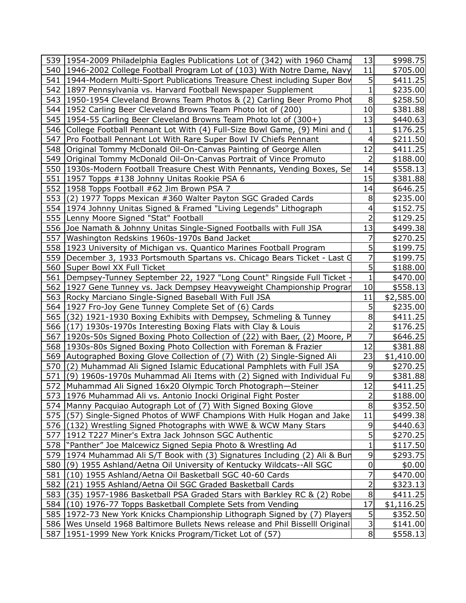|     | 539 1954-2009 Philadelphia Eagles Publications Lot of (342) with 1960 Cham      | 13             | \$998.75   |
|-----|---------------------------------------------------------------------------------|----------------|------------|
|     | 540 1946-2002 College Football Program Lot of (103) With Notre Dame, Navy       | 11             | \$705.00   |
|     | 541 1944-Modern Multi-Sport Publications Treasure Chest including Super Boy     | 5              | \$411.25   |
|     | 542   1897 Pennsylvania vs. Harvard Football Newspaper Supplement               | $\mathbf{1}$   | \$235.00   |
|     | 543   1950-1954 Cleveland Browns Team Photos & (2) Carling Beer Promo Phot      | 8              | \$258.50   |
|     | 544   1952 Carling Beer Cleveland Browns Team Photo lot of (200)                | 10             | \$381.88   |
|     | 545 1954-55 Carling Beer Cleveland Browns Team Photo lot of (300+)              | 13             | \$440.63   |
|     | 546 College Football Pennant Lot With (4) Full-Size Bowl Game, (9) Mini and     | 1              | \$176.25   |
| 547 | Pro Football Pennant Lot With Rare Super Bowl IV Chiefs Pennant                 | 4              | \$211.50   |
|     | 548 Original Tommy McDonald Oil-On-Canvas Painting of George Allen              | 12             | \$411.25   |
|     | 549   Original Tommy McDonald Oil-On-Canvas Portrait of Vince Promuto           | $\overline{2}$ | \$188.00   |
|     | 550 1930s-Modern Football Treasure Chest With Pennants, Vending Boxes, Se       | 14             | \$558.13   |
|     | 551   1957 Topps #138 Johnny Unitas Rookie PSA 6                                | 15             | \$381.88   |
|     | 552   1958 Topps Football #62 Jim Brown PSA 7                                   | 14             | \$646.25   |
|     | 553 (2) 1977 Topps Mexican #360 Walter Payton SGC Graded Cards                  | 8              | \$235.00   |
|     | 554 1974 Johnny Unitas Signed & Framed "Living Legends" Lithograph              | 4              | \$152.75   |
|     | 555 Lenny Moore Signed "Stat" Football                                          | $\overline{2}$ | \$129.25   |
|     | 556 Joe Namath & Johnny Unitas Single-Signed Footballs with Full JSA            | 13             | \$499.38   |
|     | 557 Washington Redskins 1960s-1970s Band Jacket                                 | 7              | \$270.25   |
|     | 558 1923 University of Michigan vs. Quantico Marines Football Program           | 5              | \$199.75   |
|     | 559   December 3, 1933 Portsmouth Spartans vs. Chicago Bears Ticket - Last G    | 7              | \$199.75   |
|     | 560 Super Bowl XX Full Ticket                                                   | 5              | \$188.00   |
| 561 | Dempsey-Tunney September 22, 1927 "Long Count" Ringside Full Ticket             | $\mathbf{1}$   | \$470.00   |
|     | 562 1927 Gene Tunney vs. Jack Dempsey Heavyweight Championship Prograr          | 10             | \$558.13   |
|     | 563 Rocky Marciano Single-Signed Baseball With Full JSA                         | 11             | \$2,585.00 |
|     | 564   1927 Fro-Joy Gene Tunney Complete Set of (6) Cards                        | 5              | \$235.00   |
|     | 565 (32) 1921-1930 Boxing Exhibits with Dempsey, Schmeling & Tunney             | 8              | \$411.25   |
|     | 566 (17) 1930s-1970s Interesting Boxing Flats with Clay & Louis                 | $\overline{2}$ | \$176.25   |
|     | 567   1920s-50s Signed Boxing Photo Collection of (22) with Baer, (2) Moore, P  | 7              | \$646.25   |
|     | 568 1930s-80s Signed Boxing Photo Collection with Foreman & Frazier             | 12             | \$381.88   |
|     | 569 Autographed Boxing Glove Collection of (7) With (2) Single-Signed Ali       | 23             | \$1,410.00 |
|     | 570 (2) Muhammad Ali Signed Islamic Educational Pamphlets with Full JSA         | 9              | \$270.25   |
|     | 571 (9) 1960s-1970s Muhammad Ali Items with (2) Signed with Individual Fu       | 9              | \$381.88   |
|     | 572 Muhammad Ali Signed 16x20 Olympic Torch Photograph-Steiner                  | 12             | \$411.25   |
|     | 573 1976 Muhammad Ali vs. Antonio Inocki Original Fight Poster                  | $\mathbf 2$    | \$188.00   |
|     | 574   Manny Pacquiao Autograph Lot of (7) With Signed Boxing Glove              | 8              | \$352.50   |
|     | 575 (57) Single-Signed Photos of WWF Champions With Hulk Hogan and Jake         | 11             | \$499.38   |
|     | 576 (132) Wrestling Signed Photographs with WWE & WCW Many Stars                | 9              | \$440.63   |
| 577 | 1912 T227 Miner's Extra Jack Johnson SGC Authentic                              | 5              | \$270.25   |
|     | 578  "Panther" Joe Malcewicz Signed Sepia Photo & Wrestling Ad                  | 1              | \$117.50   |
|     | 579 1974 Muhammad Ali S/T Book with (3) Signatures Including (2) Ali & Bun      | 9              | \$293.75   |
|     | 580 (9) 1955 Ashland/Aetna Oil University of Kentucky Wildcats--All SGC         | 0              | \$0.00     |
| 581 | (10) 1955 Ashland/Aetna Oil Basketball SGC 40-60 Cards                          | 7              | \$470.00   |
| 582 | (21) 1955 Ashland/Aetna Oil SGC Graded Basketball Cards                         | 2              | \$323.13   |
|     | 583 (35) 1957-1986 Basketball PSA Graded Stars with Barkley RC & (2) Robe       | 8              | \$411.25   |
|     | 584 (10) 1976-77 Topps Basketball Complete Sets from Vending                    | 17             | \$1,116.25 |
|     | 585 1972-73 New York Knicks Championship Lithograph Signed by (7) Players       | 5              | \$352.50   |
|     | 586   Wes Unseld 1968 Baltimore Bullets News release and Phil Bisselll Original | 3              | \$141.00   |
| 587 | 1951-1999 New York Knicks Program/Ticket Lot of (57)                            | 8 <sup>1</sup> | \$558.13   |
|     |                                                                                 |                |            |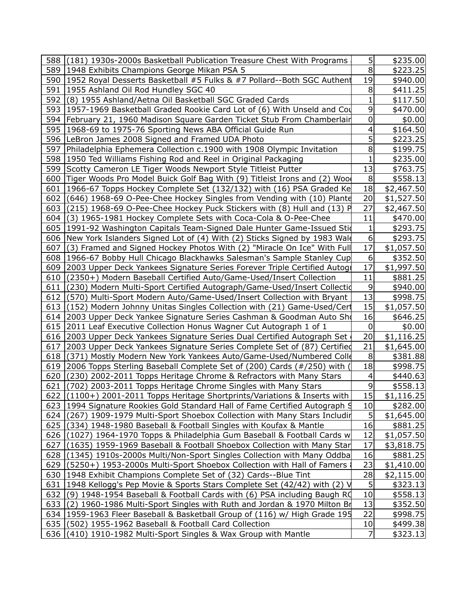| 588 (181) 1930s-2000s Basketball Publication Treasure Chest With Programs        | 5              | \$235.00   |
|----------------------------------------------------------------------------------|----------------|------------|
| 589   1948 Exhibits Champions George Mikan PSA 5                                 | 8              | \$223.25   |
| 590   1952 Royal Desserts Basketball #5 Fulks & #7 Pollard--Both SGC Authent     | 19             | \$940.00   |
| 591   1955 Ashland Oil Rod Hundley SGC 40                                        | 8              | \$411.25   |
| 592 (8) 1955 Ashland/Aetna Oil Basketball SGC Graded Cards                       | 1              | \$117.50   |
| 593 1957-1969 Basketball Graded Rookie Card Lot of (6) With Unseld and Cou       | 9              | \$470.00   |
| 594 February 21, 1960 Madison Square Garden Ticket Stub From Chamberlain         | 0              | \$0.00     |
| 595   1968-69 to 1975-76 Sporting News ABA Official Guide Run                    | 4              | \$164.50   |
| 596 LeBron James 2008 Signed and Framed UDA Photo                                | 5              | \$223.25   |
| 597   Philadelphia Ephemera Collection c.1900 with 1908 Olympic Invitation       | 8              | \$199.75   |
| 598 1950 Ted Williams Fishing Rod and Reel in Original Packaging                 | 1              | \$235.00   |
| 599 Scotty Cameron LE Tiger Woods Newport Style Titleist Putter                  | 13             | \$763.75   |
| 600 Tiger Woods Pro Model Buick Golf Bag With (9) Titleist Irons and (2) Woo     | 8              | \$558.13   |
| 601 1966-67 Topps Hockey Complete Set (132/132) with (16) PSA Graded Ke          | 18             | \$2,467.50 |
| 602 (646) 1968-69 O-Pee-Chee Hockey Singles from Vending with (10) Plante        | 20             | \$1,527.50 |
| 603 $(215)$ 1968-69 O-Pee-Chee Hockey Puck Stickers with $(8)$ Hull and $(13)$ P | 27             | \$2,467.50 |
| 604 (3) 1965-1981 Hockey Complete Sets with Coca-Cola & O-Pee-Chee               | 11             | \$470.00   |
| 605   1991-92 Washington Capitals Team-Signed Dale Hunter Game-Issued Stid       | 1              | \$293.75   |
| 606 New York Islanders Signed Lot of (4) With (2) Sticks Signed by 1983 Wald     | 6              | \$293.75   |
| 607 (3) Framed and Signed Hockey Photos With (2) "Miracle On Ice" With Full      | 17             | \$1,057.50 |
| 608 1966-67 Bobby Hull Chicago Blackhawks Salesman's Sample Stanley Cup          | 6              | \$352.50   |
| 609 2003 Upper Deck Yankees Signature Series Forever Triple Certified Autoge     | 17             | \$1,997.50 |
| 610 (2350+) Modern Baseball Certified Auto/Game-Used/Insert Collection           | 11             | \$881.25   |
| 611 (230) Modern Multi-Sport Certified Autograph/Game-Used/Insert Collectid      | 9              | \$940.00   |
| 612 (570) Multi-Sport Modern Auto/Game-Used/Insert Collection with Bryant        | 13             | \$998.75   |
| 613 (152) Modern Johnny Unitas Singles Collection with (21) Game-Used/Cert       | 15             | \$1,057.50 |
| 614 2003 Upper Deck Yankee Signature Series Cashman & Goodman Auto Sho           | 16             | \$646.25   |
| 615 2011 Leaf Executive Collection Honus Wagner Cut Autograph 1 of 1             | 0              | \$0.00     |
| 616 2003 Upper Deck Yankees Signature Series Dual Certified Autograph Set        | 20             | \$1,116.25 |
| 617   2003 Upper Deck Yankees Signature Series Complete Set of (87) Certified    | 21             | \$1,645.00 |
| 618 (371) Mostly Modern New York Yankees Auto/Game-Used/Numbered Colle           | 8              | \$381.88   |
| 619 2006 Topps Sterling Baseball Complete Set of (200) Cards (#/250) with        | 18             | \$998.75   |
| 620 (230) 2002-2011 Topps Heritage Chrome & Refractors with Many Stars           | 4              | \$440.63   |
| 621 (702) 2003-2011 Topps Heritage Chrome Singles with Many Stars                | 9              | \$558.13   |
| 622 (1100+) 2001-2011 Topps Heritage Shortprints/Variations & Inserts with       | <u>15</u>      | \$1,116.25 |
| 623 1994 Signature Rookies Gold Standard Hall of Fame Certified Autograph 9      | $10 \,$        | \$282.00   |
| 624 (267) 1909-1979 Multi-Sport Shoebox Collection with Many Stars Includin      |                | \$1,645.00 |
| 625 (334) 1948-1980 Baseball & Football Singles with Koufax & Mantle             | 16             | \$881.25   |
| 626 (1027) 1964-1970 Topps & Philadelphia Gum Baseball & Football Cards w        | 12             | \$1,057.50 |
| 627 (1635) 1959-1969 Baseball & Football Shoebox Collection with Many Star       | 17             | \$3,818.75 |
| 628 (1345) 1910s-2000s Multi/Non-Sport Singles Collection with Many Oddba        | 16             | \$881.25   |
| 629 (5250+) 1953-2000s Multi-Sport Shoebox Collection with Hall of Famers        | 23             | \$1,410.00 |
| 630   1948 Exhibit Champions Complete Set of (32) Cards--Blue Tint               | 28             | \$2,115.00 |
| 631 1948 Kellogg's Pep Movie & Sports Stars Complete Set (42/42) with (2) V      |                | \$323.13   |
| 632 (9) 1948-1954 Baseball & Football Cards with (6) PSA including Baugh RQ      | 10             | \$558.13   |
| 633 (2) 1960-1986 Multi-Sport Singles with Ruth and Jordan & 1970 Milton Br      | 13             | \$352.50   |
| 634 1959-1963 Fleer Baseball & Basketball Group of (116) w/ High Grade 195       | 22             | \$998.75   |
| 635 (502) 1955-1962 Baseball & Football Card Collection                          | 10             | \$499.38   |
| 636 (410) 1910-1982 Multi-Sport Singles & Wax Group with Mantle                  | $\overline{7}$ | \$323.13   |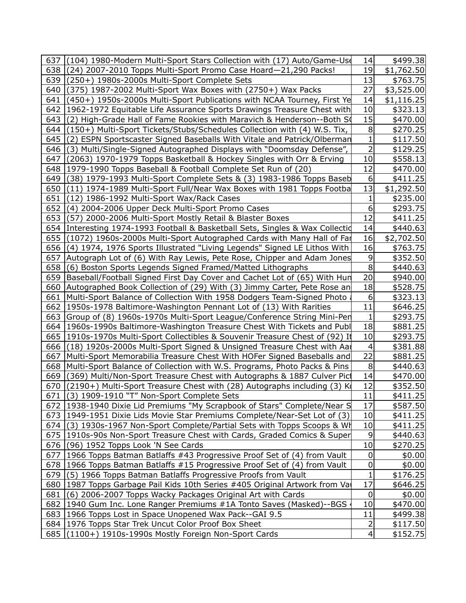|     | 637 (104) 1980-Modern Multi-Sport Stars Collection with (17) Auto/Game-Use                                                                              | 14              | \$499.38             |  |
|-----|---------------------------------------------------------------------------------------------------------------------------------------------------------|-----------------|----------------------|--|
|     | 638 (24) 2007-2010 Topps Multi-Sport Promo Case Hoard-21,290 Packs!                                                                                     | 19              | \$1,762.50           |  |
|     | 639 (250+) 1980s-2000s Multi-Sport Complete Sets                                                                                                        | 13              | \$763.75             |  |
| 640 | (375) 1987-2002 Multi-Sport Wax Boxes with (2750+) Wax Packs                                                                                            | 27              | \$3,525.00           |  |
| 641 | (450+) 1950s-2000s Multi-Sport Publications with NCAA Tourney, First Ye                                                                                 | 14              | \$1,116.25           |  |
| 642 | 1962-1972 Equitable Life Assurance Sports Drawings Treasure Chest with                                                                                  | 10              | \$323.13             |  |
| 643 | (2) High-Grade Hall of Fame Rookies with Maravich & Henderson--Both S                                                                                   | 15              | \$470.00             |  |
| 644 | (150+) Multi-Sport Tickets/Stubs/Schedules Collection with (4) W.S. Tix,                                                                                | 8               | \$270.25             |  |
|     | 645 (2) ESPN Sportscaster Signed Baseballs With Vitale and Patrick/Olberman                                                                             | 1               | \$117.50             |  |
|     | 646 (3) Multi/Single-Signed Autographed Displays with "Doomsday Defense",                                                                               | 2               | \$129.25             |  |
| 647 | (2063) 1970-1979 Topps Basketball & Hockey Singles with Orr & Erving                                                                                    | 10 <sub>l</sub> | \$558.13             |  |
|     | 648   1979-1990 Topps Baseball & Football Complete Set Run of (20)                                                                                      | 12              | \$470.00             |  |
| 649 | (38) 1979-1993 Multi-Sport Complete Sets & (3) 1983-1986 Topps Baseb                                                                                    | 6               | \$411.25             |  |
| 650 | (11) 1974-1989 Multi-Sport Full/Near Wax Boxes with 1981 Topps Footba                                                                                   | 13              | \$1,292.50           |  |
| 651 | (12) 1986-1992 Multi-Sport Wax/Rack Cases                                                                                                               |                 | \$235.00             |  |
| 652 | (4) 2004-2006 Upper Deck Multi-Sport Promo Cases                                                                                                        | 6               | \$293.75             |  |
| 653 | (57) 2000-2006 Multi-Sport Mostly Retail & Blaster Boxes                                                                                                | 12              | \$411.25             |  |
|     | 654 Interesting 1974-1993 Football & Basketball Sets, Singles & Wax Collectid                                                                           | 14              | \$440.63             |  |
| 655 | (1072) 1960s-2000s Multi-Sport Autographed Cards with Many Hall of Far                                                                                  | 16              | \$2,702.50           |  |
|     | 656 (4) 1974, 1976 Sports Illustrated "Living Legends" Signed LE Lithos With                                                                            | 16              | \$763.75             |  |
|     | 657 Autograph Lot of (6) With Ray Lewis, Pete Rose, Chipper and Adam Jones                                                                              | 9               | \$352.50             |  |
|     | 658 (6) Boston Sports Legends Signed Framed/Matted Lithographs                                                                                          | 8               | \$440.63             |  |
|     | 659   Baseball/Football Signed First Day Cover and Cachet Lot of (65) With Hun                                                                          | 20              | \$940.00             |  |
|     | 660 Autographed Book Collection of (29) With (3) Jimmy Carter, Pete Rose an                                                                             | 18              | \$528.75             |  |
|     | 661   Multi-Sport Balance of Collection With 1958 Dodgers Team-Signed Photo                                                                             | 6               | \$323.13             |  |
| 662 | 1950s-1978 Baltimore-Washington Pennant Lot of (13) With Rarities                                                                                       | 11              | \$646.25             |  |
|     | 663 Group of (8) 1960s-1970s Multi-Sport League/Conference String Mini-Pen                                                                              | 1               | \$293.75             |  |
|     | 664 1960s-1990s Baltimore-Washington Treasure Chest With Tickets and Publ                                                                               | 18              | \$881.25             |  |
|     | 665   1910s-1970s Multi-Sport Collectibles & Souvenir Treasure Chest of (92) It                                                                         | 10              | \$293.75             |  |
|     | 666 (18) 1920s-2000s Multi-Sport Signed & Unsigned Treasure Chest with Aar                                                                              | 4<br>22         | \$381.88             |  |
|     | 667   Multi-Sport Memorabilia Treasure Chest With HOFer Signed Baseballs and                                                                            | 8               | \$881.25             |  |
| 669 | 668 Multi-Sport Balance of Collection with W.S. Programs, Photo Packs & Pins<br>(369) Multi/Non-Sport Treasure Chest with Autographs & 1887 Culver Pict | 14              | \$440.63<br>\$470.00 |  |
|     | 670   (2190+) Multi-Sport Treasure Chest with (28) Autographs including (3) K                                                                           | 12              | \$352.50             |  |
|     | 671 (3) 1909-1910 "T" Non-Sport Complete Sets                                                                                                           | 11              | \$411.25             |  |
|     | 672   1938-1940 Dixie Lid Premiums "My Scrapbook of Stars" Complete/Near S                                                                              | 17              | \$587.50             |  |
|     | 673 1949-1951 Dixie Lids Movie Star Premiums Complete/Near-Set Lot of (3)                                                                               | 10              | \$411.25             |  |
|     | 674 (3) 1930s-1967 Non-Sport Complete/Partial Sets with Topps Scoops & Wh                                                                               | 10              | \$411.25             |  |
|     | 675   1910s-90s Non-Sport Treasure Chest with Cards, Graded Comics & Super                                                                              | 9               | \$440.63             |  |
|     | 676 (96) 1952 Topps Look 'N See Cards                                                                                                                   | 10              | \$270.25             |  |
|     | 677 1966 Topps Batman Batlaffs #43 Progressive Proof Set of (4) from Vault                                                                              | 0               | \$0.00               |  |
|     | 678 1966 Topps Batman Batlaffs #15 Progressive Proof Set of (4) from Vault                                                                              | $\pmb{0}$       | \$0.00               |  |
|     | 679 (5) 1966 Topps Batman Batlaffs Progressive Proofs from Vault                                                                                        |                 | \$176.25             |  |
|     | 680 1987 Topps Garbage Pail Kids 10th Series #405 Original Artwork from Vai                                                                             | 17              | \$646.25             |  |
| 681 | (6) 2006-2007 Topps Wacky Packages Original Art with Cards                                                                                              | 0               | \$0.00               |  |
|     | 682 1940 Gum Inc. Lone Ranger Premiums #1A Tonto Saves (Masked)--BGS                                                                                    | 10              | \$470.00             |  |
|     | 683 1966 Topps Lost in Space Unopened Wax Pack--GAI 9.5                                                                                                 | 11              | \$499.38             |  |
|     | 684   1976 Topps Star Trek Uncut Color Proof Box Sheet                                                                                                  | 2               | \$117.50             |  |
|     | 685 (1100+) 1910s-1990s Mostly Foreign Non-Sport Cards                                                                                                  | $\vert 4 \vert$ | \$152.75             |  |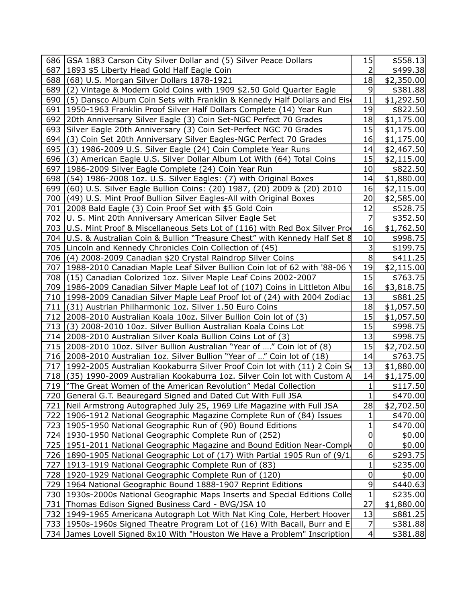| 2<br>687   1893 \$5 Liberty Head Gold Half Eagle Coin<br>\$499.38<br>688<br>(68) U.S. Morgan Silver Dollars 1878-1921<br>18<br>\$2,350.00<br>689<br>(2) Vintage & Modern Gold Coins with 1909 \$2.50 Gold Quarter Eagle<br>9<br>\$381.88<br>11<br>690<br>(5) Dansco Album Coin Sets with Franklin & Kennedy Half Dollars and Eis<br>\$1,292.50<br>19<br>691   1950-1963 Franklin Proof Silver Half Dollars Complete (14) Year Run<br>\$822.50<br>18<br>692<br>20th Anniversary Silver Eagle (3) Coin Set-NGC Perfect 70 Grades<br>\$1,175.00<br>15<br>693 Silver Eagle 20th Anniversary (3) Coin Set-Perfect NGC 70 Grades<br>\$1,175.00<br>16<br>694<br>(3) Coin Set 20th Anniversary Silver Eagles-NGC Perfect 70 Grades<br>\$1,175.00<br>695<br>14<br>(3) 1986-2009 U.S. Silver Eagle (24) Coin Complete Year Runs<br>\$2,467.50<br>696<br>15<br>(3) American Eagle U.S. Silver Dollar Album Lot With (64) Total Coins<br>\$2,115.00<br>697   1986-2009 Silver Eagle Complete (24) Coin Year Run<br>10<br>\$822.50<br>698<br>(54) 1986-2008 1oz. U.S. Silver Eagles: (7) with Original Boxes<br>14<br>\$1,880.00<br>699<br>(60) U.S. Silver Eagle Bullion Coins: (20) 1987, (20) 2009 & (20) 2010<br>16<br>\$2,115.00<br>(49) U.S. Mint Proof Bullion Silver Eagles-All with Original Boxes<br>20<br>700<br>\$2,585.00<br>12<br>2008 Bald Eagle (3) Coin Proof Set with \$5 Gold Coin<br>\$528.75<br>701<br>\$352.50<br>702   U. S. Mint 20th Anniversary American Silver Eagle Set<br>7<br>703 U.S. Mint Proof & Miscellaneous Sets Lot of (116) with Red Box Silver Pro<br>16<br>\$1,762.50<br>10<br>U.S. & Australian Coin & Bullion "Treasure Chest" with Kennedy Half Set &<br>704<br>\$998.75<br>3<br>\$199.75<br>705 Lincoln and Kennedy Chronicles Coin Collection of (45)<br>706<br>(4) 2008-2009 Canadian \$20 Crystal Raindrop Silver Coins<br>8<br>\$411.25<br>19<br>707   1988-2010 Canadian Maple Leaf Silver Bullion Coin lot of 62 with '88-06<br>\$2,115.00<br>15<br>708 (15) Canadian Colorized 1oz. Silver Maple Leaf Coins 2002-2007<br>\$763.75<br>709   1986-2009 Canadian Silver Maple Leaf lot of (107) Coins in Littleton Albur<br>16<br>\$3,818.75<br>13<br>710   1998-2009 Canadian Silver Maple Leaf Proof lot of (24) with 2004 Zodiac<br>\$881.25<br>18<br>(31) Austrian Philharmonic 1oz. Silver 1.50 Euro Coins<br>711<br>\$1,057.50<br>15<br>712   2008-2010 Australian Koala 10oz. Silver Bullion Coin lot of (3)<br>\$1,057.50<br>15<br>713<br>(3) 2008-2010 10oz. Silver Bullion Australian Koala Coins Lot<br>\$998.75<br>13<br>\$998.75<br>714 2008-2010 Australian Silver Koala Bullion Coins Lot of (3)<br>15<br>2008-2010 10oz. Silver Bullion Australian "Year of " Coin lot of (8)<br>715<br>\$2,702.50<br>2008-2010 Australian 1oz. Silver Bullion "Year of " Coin lot of (18)<br>14<br>716<br>\$763.75<br>13<br>717<br>1992-2005 Australian Kookaburra Silver Proof Coin lot with (11) 2 Coin S<br>\$1,880.00<br>14<br>718<br>(35) 1990-2009 Australian Kookaburra 1oz. Silver Coin lot with Custom A<br>\$1,175.00<br>719  "The Great Women of the American Revolution" Medal Collection<br>1<br>\$117.50<br>$\mathbf 1$<br>720 General G.T. Beauregard Signed and Dated Cut With Full JSA<br>\$470.00<br>721 Neil Armstrong Autographed July 25, 1969 Life Magazine with Full JSA<br>28<br>\$2,702.50<br>722 1906-1912 National Geographic Magazine Complete Run of (84) Issues<br>\$470.00<br>1<br>723   1905-1950 National Geographic Run of (90) Bound Editions<br>1<br>\$470.00<br>724   1930-1950 National Geographic Complete Run of (252)<br>0<br>\$0.00<br>725 1951-2011 National Geographic Magazine and Bound Edition Near-Comple<br>0<br>\$0.00<br>6<br>726 1890-1905 National Geographic Lot of (17) With Partial 1905 Run of (9/1)<br>\$293.75<br>1<br>727   1913-1919 National Geographic Complete Run of (83)<br>\$235.00<br>728   1920-1929 National Geographic Complete Run of (120)<br>0<br>\$0.00<br>9<br>729   1964 National Geographic Bound 1888-1907 Reprint Editions<br>\$440.63<br>$\mathbf 1$<br>730 1930s-2000s National Geographic Maps Inserts and Special Editions Colle<br>\$235.00<br>27<br>731<br>Thomas Edison Signed Business Card - BVG/JSA 10<br>\$1,880.00<br>13<br>732 1949-1965 Americana Autograph Lot With Nat King Cole, Herbert Hoover<br>\$881.25<br>733 1950s-1960s Signed Theatre Program Lot of (16) With Bacall, Burr and E.<br>7<br>\$381.88 |     | 686 GSA 1883 Carson City Silver Dollar and (5) Silver Peace Dollars   | 15                      | \$558.13 |
|--------------------------------------------------------------------------------------------------------------------------------------------------------------------------------------------------------------------------------------------------------------------------------------------------------------------------------------------------------------------------------------------------------------------------------------------------------------------------------------------------------------------------------------------------------------------------------------------------------------------------------------------------------------------------------------------------------------------------------------------------------------------------------------------------------------------------------------------------------------------------------------------------------------------------------------------------------------------------------------------------------------------------------------------------------------------------------------------------------------------------------------------------------------------------------------------------------------------------------------------------------------------------------------------------------------------------------------------------------------------------------------------------------------------------------------------------------------------------------------------------------------------------------------------------------------------------------------------------------------------------------------------------------------------------------------------------------------------------------------------------------------------------------------------------------------------------------------------------------------------------------------------------------------------------------------------------------------------------------------------------------------------------------------------------------------------------------------------------------------------------------------------------------------------------------------------------------------------------------------------------------------------------------------------------------------------------------------------------------------------------------------------------------------------------------------------------------------------------------------------------------------------------------------------------------------------------------------------------------------------------------------------------------------------------------------------------------------------------------------------------------------------------------------------------------------------------------------------------------------------------------------------------------------------------------------------------------------------------------------------------------------------------------------------------------------------------------------------------------------------------------------------------------------------------------------------------------------------------------------------------------------------------------------------------------------------------------------------------------------------------------------------------------------------------------------------------------------------------------------------------------------------------------------------------------------------------------------------------------------------------------------------------------------------------------------------------------------------------------------------------------------------------------------------------------------------------------------------------------------------------------------------------------------------------------------------------------------------------------------------------------------------------------------------------------------------------------------------------------------------------------------------------------------------------------------------------------------------------------------------------------------------------------------------------------------------------------------------------------------------------------------------------------------------------------------------------|-----|-----------------------------------------------------------------------|-------------------------|----------|
|                                                                                                                                                                                                                                                                                                                                                                                                                                                                                                                                                                                                                                                                                                                                                                                                                                                                                                                                                                                                                                                                                                                                                                                                                                                                                                                                                                                                                                                                                                                                                                                                                                                                                                                                                                                                                                                                                                                                                                                                                                                                                                                                                                                                                                                                                                                                                                                                                                                                                                                                                                                                                                                                                                                                                                                                                                                                                                                                                                                                                                                                                                                                                                                                                                                                                                                                                                                                                                                                                                                                                                                                                                                                                                                                                                                                                                                                                                                                                                                                                                                                                                                                                                                                                                                                                                                                                                                                                                                  |     |                                                                       |                         |          |
|                                                                                                                                                                                                                                                                                                                                                                                                                                                                                                                                                                                                                                                                                                                                                                                                                                                                                                                                                                                                                                                                                                                                                                                                                                                                                                                                                                                                                                                                                                                                                                                                                                                                                                                                                                                                                                                                                                                                                                                                                                                                                                                                                                                                                                                                                                                                                                                                                                                                                                                                                                                                                                                                                                                                                                                                                                                                                                                                                                                                                                                                                                                                                                                                                                                                                                                                                                                                                                                                                                                                                                                                                                                                                                                                                                                                                                                                                                                                                                                                                                                                                                                                                                                                                                                                                                                                                                                                                                                  |     |                                                                       |                         |          |
|                                                                                                                                                                                                                                                                                                                                                                                                                                                                                                                                                                                                                                                                                                                                                                                                                                                                                                                                                                                                                                                                                                                                                                                                                                                                                                                                                                                                                                                                                                                                                                                                                                                                                                                                                                                                                                                                                                                                                                                                                                                                                                                                                                                                                                                                                                                                                                                                                                                                                                                                                                                                                                                                                                                                                                                                                                                                                                                                                                                                                                                                                                                                                                                                                                                                                                                                                                                                                                                                                                                                                                                                                                                                                                                                                                                                                                                                                                                                                                                                                                                                                                                                                                                                                                                                                                                                                                                                                                                  |     |                                                                       |                         |          |
|                                                                                                                                                                                                                                                                                                                                                                                                                                                                                                                                                                                                                                                                                                                                                                                                                                                                                                                                                                                                                                                                                                                                                                                                                                                                                                                                                                                                                                                                                                                                                                                                                                                                                                                                                                                                                                                                                                                                                                                                                                                                                                                                                                                                                                                                                                                                                                                                                                                                                                                                                                                                                                                                                                                                                                                                                                                                                                                                                                                                                                                                                                                                                                                                                                                                                                                                                                                                                                                                                                                                                                                                                                                                                                                                                                                                                                                                                                                                                                                                                                                                                                                                                                                                                                                                                                                                                                                                                                                  |     |                                                                       |                         |          |
|                                                                                                                                                                                                                                                                                                                                                                                                                                                                                                                                                                                                                                                                                                                                                                                                                                                                                                                                                                                                                                                                                                                                                                                                                                                                                                                                                                                                                                                                                                                                                                                                                                                                                                                                                                                                                                                                                                                                                                                                                                                                                                                                                                                                                                                                                                                                                                                                                                                                                                                                                                                                                                                                                                                                                                                                                                                                                                                                                                                                                                                                                                                                                                                                                                                                                                                                                                                                                                                                                                                                                                                                                                                                                                                                                                                                                                                                                                                                                                                                                                                                                                                                                                                                                                                                                                                                                                                                                                                  |     |                                                                       |                         |          |
|                                                                                                                                                                                                                                                                                                                                                                                                                                                                                                                                                                                                                                                                                                                                                                                                                                                                                                                                                                                                                                                                                                                                                                                                                                                                                                                                                                                                                                                                                                                                                                                                                                                                                                                                                                                                                                                                                                                                                                                                                                                                                                                                                                                                                                                                                                                                                                                                                                                                                                                                                                                                                                                                                                                                                                                                                                                                                                                                                                                                                                                                                                                                                                                                                                                                                                                                                                                                                                                                                                                                                                                                                                                                                                                                                                                                                                                                                                                                                                                                                                                                                                                                                                                                                                                                                                                                                                                                                                                  |     |                                                                       |                         |          |
|                                                                                                                                                                                                                                                                                                                                                                                                                                                                                                                                                                                                                                                                                                                                                                                                                                                                                                                                                                                                                                                                                                                                                                                                                                                                                                                                                                                                                                                                                                                                                                                                                                                                                                                                                                                                                                                                                                                                                                                                                                                                                                                                                                                                                                                                                                                                                                                                                                                                                                                                                                                                                                                                                                                                                                                                                                                                                                                                                                                                                                                                                                                                                                                                                                                                                                                                                                                                                                                                                                                                                                                                                                                                                                                                                                                                                                                                                                                                                                                                                                                                                                                                                                                                                                                                                                                                                                                                                                                  |     |                                                                       |                         |          |
|                                                                                                                                                                                                                                                                                                                                                                                                                                                                                                                                                                                                                                                                                                                                                                                                                                                                                                                                                                                                                                                                                                                                                                                                                                                                                                                                                                                                                                                                                                                                                                                                                                                                                                                                                                                                                                                                                                                                                                                                                                                                                                                                                                                                                                                                                                                                                                                                                                                                                                                                                                                                                                                                                                                                                                                                                                                                                                                                                                                                                                                                                                                                                                                                                                                                                                                                                                                                                                                                                                                                                                                                                                                                                                                                                                                                                                                                                                                                                                                                                                                                                                                                                                                                                                                                                                                                                                                                                                                  |     |                                                                       |                         |          |
|                                                                                                                                                                                                                                                                                                                                                                                                                                                                                                                                                                                                                                                                                                                                                                                                                                                                                                                                                                                                                                                                                                                                                                                                                                                                                                                                                                                                                                                                                                                                                                                                                                                                                                                                                                                                                                                                                                                                                                                                                                                                                                                                                                                                                                                                                                                                                                                                                                                                                                                                                                                                                                                                                                                                                                                                                                                                                                                                                                                                                                                                                                                                                                                                                                                                                                                                                                                                                                                                                                                                                                                                                                                                                                                                                                                                                                                                                                                                                                                                                                                                                                                                                                                                                                                                                                                                                                                                                                                  |     |                                                                       |                         |          |
|                                                                                                                                                                                                                                                                                                                                                                                                                                                                                                                                                                                                                                                                                                                                                                                                                                                                                                                                                                                                                                                                                                                                                                                                                                                                                                                                                                                                                                                                                                                                                                                                                                                                                                                                                                                                                                                                                                                                                                                                                                                                                                                                                                                                                                                                                                                                                                                                                                                                                                                                                                                                                                                                                                                                                                                                                                                                                                                                                                                                                                                                                                                                                                                                                                                                                                                                                                                                                                                                                                                                                                                                                                                                                                                                                                                                                                                                                                                                                                                                                                                                                                                                                                                                                                                                                                                                                                                                                                                  |     |                                                                       |                         |          |
|                                                                                                                                                                                                                                                                                                                                                                                                                                                                                                                                                                                                                                                                                                                                                                                                                                                                                                                                                                                                                                                                                                                                                                                                                                                                                                                                                                                                                                                                                                                                                                                                                                                                                                                                                                                                                                                                                                                                                                                                                                                                                                                                                                                                                                                                                                                                                                                                                                                                                                                                                                                                                                                                                                                                                                                                                                                                                                                                                                                                                                                                                                                                                                                                                                                                                                                                                                                                                                                                                                                                                                                                                                                                                                                                                                                                                                                                                                                                                                                                                                                                                                                                                                                                                                                                                                                                                                                                                                                  |     |                                                                       |                         |          |
|                                                                                                                                                                                                                                                                                                                                                                                                                                                                                                                                                                                                                                                                                                                                                                                                                                                                                                                                                                                                                                                                                                                                                                                                                                                                                                                                                                                                                                                                                                                                                                                                                                                                                                                                                                                                                                                                                                                                                                                                                                                                                                                                                                                                                                                                                                                                                                                                                                                                                                                                                                                                                                                                                                                                                                                                                                                                                                                                                                                                                                                                                                                                                                                                                                                                                                                                                                                                                                                                                                                                                                                                                                                                                                                                                                                                                                                                                                                                                                                                                                                                                                                                                                                                                                                                                                                                                                                                                                                  |     |                                                                       |                         |          |
|                                                                                                                                                                                                                                                                                                                                                                                                                                                                                                                                                                                                                                                                                                                                                                                                                                                                                                                                                                                                                                                                                                                                                                                                                                                                                                                                                                                                                                                                                                                                                                                                                                                                                                                                                                                                                                                                                                                                                                                                                                                                                                                                                                                                                                                                                                                                                                                                                                                                                                                                                                                                                                                                                                                                                                                                                                                                                                                                                                                                                                                                                                                                                                                                                                                                                                                                                                                                                                                                                                                                                                                                                                                                                                                                                                                                                                                                                                                                                                                                                                                                                                                                                                                                                                                                                                                                                                                                                                                  |     |                                                                       |                         |          |
|                                                                                                                                                                                                                                                                                                                                                                                                                                                                                                                                                                                                                                                                                                                                                                                                                                                                                                                                                                                                                                                                                                                                                                                                                                                                                                                                                                                                                                                                                                                                                                                                                                                                                                                                                                                                                                                                                                                                                                                                                                                                                                                                                                                                                                                                                                                                                                                                                                                                                                                                                                                                                                                                                                                                                                                                                                                                                                                                                                                                                                                                                                                                                                                                                                                                                                                                                                                                                                                                                                                                                                                                                                                                                                                                                                                                                                                                                                                                                                                                                                                                                                                                                                                                                                                                                                                                                                                                                                                  |     |                                                                       |                         |          |
|                                                                                                                                                                                                                                                                                                                                                                                                                                                                                                                                                                                                                                                                                                                                                                                                                                                                                                                                                                                                                                                                                                                                                                                                                                                                                                                                                                                                                                                                                                                                                                                                                                                                                                                                                                                                                                                                                                                                                                                                                                                                                                                                                                                                                                                                                                                                                                                                                                                                                                                                                                                                                                                                                                                                                                                                                                                                                                                                                                                                                                                                                                                                                                                                                                                                                                                                                                                                                                                                                                                                                                                                                                                                                                                                                                                                                                                                                                                                                                                                                                                                                                                                                                                                                                                                                                                                                                                                                                                  |     |                                                                       |                         |          |
|                                                                                                                                                                                                                                                                                                                                                                                                                                                                                                                                                                                                                                                                                                                                                                                                                                                                                                                                                                                                                                                                                                                                                                                                                                                                                                                                                                                                                                                                                                                                                                                                                                                                                                                                                                                                                                                                                                                                                                                                                                                                                                                                                                                                                                                                                                                                                                                                                                                                                                                                                                                                                                                                                                                                                                                                                                                                                                                                                                                                                                                                                                                                                                                                                                                                                                                                                                                                                                                                                                                                                                                                                                                                                                                                                                                                                                                                                                                                                                                                                                                                                                                                                                                                                                                                                                                                                                                                                                                  |     |                                                                       |                         |          |
|                                                                                                                                                                                                                                                                                                                                                                                                                                                                                                                                                                                                                                                                                                                                                                                                                                                                                                                                                                                                                                                                                                                                                                                                                                                                                                                                                                                                                                                                                                                                                                                                                                                                                                                                                                                                                                                                                                                                                                                                                                                                                                                                                                                                                                                                                                                                                                                                                                                                                                                                                                                                                                                                                                                                                                                                                                                                                                                                                                                                                                                                                                                                                                                                                                                                                                                                                                                                                                                                                                                                                                                                                                                                                                                                                                                                                                                                                                                                                                                                                                                                                                                                                                                                                                                                                                                                                                                                                                                  |     |                                                                       |                         |          |
|                                                                                                                                                                                                                                                                                                                                                                                                                                                                                                                                                                                                                                                                                                                                                                                                                                                                                                                                                                                                                                                                                                                                                                                                                                                                                                                                                                                                                                                                                                                                                                                                                                                                                                                                                                                                                                                                                                                                                                                                                                                                                                                                                                                                                                                                                                                                                                                                                                                                                                                                                                                                                                                                                                                                                                                                                                                                                                                                                                                                                                                                                                                                                                                                                                                                                                                                                                                                                                                                                                                                                                                                                                                                                                                                                                                                                                                                                                                                                                                                                                                                                                                                                                                                                                                                                                                                                                                                                                                  |     |                                                                       |                         |          |
|                                                                                                                                                                                                                                                                                                                                                                                                                                                                                                                                                                                                                                                                                                                                                                                                                                                                                                                                                                                                                                                                                                                                                                                                                                                                                                                                                                                                                                                                                                                                                                                                                                                                                                                                                                                                                                                                                                                                                                                                                                                                                                                                                                                                                                                                                                                                                                                                                                                                                                                                                                                                                                                                                                                                                                                                                                                                                                                                                                                                                                                                                                                                                                                                                                                                                                                                                                                                                                                                                                                                                                                                                                                                                                                                                                                                                                                                                                                                                                                                                                                                                                                                                                                                                                                                                                                                                                                                                                                  |     |                                                                       |                         |          |
|                                                                                                                                                                                                                                                                                                                                                                                                                                                                                                                                                                                                                                                                                                                                                                                                                                                                                                                                                                                                                                                                                                                                                                                                                                                                                                                                                                                                                                                                                                                                                                                                                                                                                                                                                                                                                                                                                                                                                                                                                                                                                                                                                                                                                                                                                                                                                                                                                                                                                                                                                                                                                                                                                                                                                                                                                                                                                                                                                                                                                                                                                                                                                                                                                                                                                                                                                                                                                                                                                                                                                                                                                                                                                                                                                                                                                                                                                                                                                                                                                                                                                                                                                                                                                                                                                                                                                                                                                                                  |     |                                                                       |                         |          |
|                                                                                                                                                                                                                                                                                                                                                                                                                                                                                                                                                                                                                                                                                                                                                                                                                                                                                                                                                                                                                                                                                                                                                                                                                                                                                                                                                                                                                                                                                                                                                                                                                                                                                                                                                                                                                                                                                                                                                                                                                                                                                                                                                                                                                                                                                                                                                                                                                                                                                                                                                                                                                                                                                                                                                                                                                                                                                                                                                                                                                                                                                                                                                                                                                                                                                                                                                                                                                                                                                                                                                                                                                                                                                                                                                                                                                                                                                                                                                                                                                                                                                                                                                                                                                                                                                                                                                                                                                                                  |     |                                                                       |                         |          |
|                                                                                                                                                                                                                                                                                                                                                                                                                                                                                                                                                                                                                                                                                                                                                                                                                                                                                                                                                                                                                                                                                                                                                                                                                                                                                                                                                                                                                                                                                                                                                                                                                                                                                                                                                                                                                                                                                                                                                                                                                                                                                                                                                                                                                                                                                                                                                                                                                                                                                                                                                                                                                                                                                                                                                                                                                                                                                                                                                                                                                                                                                                                                                                                                                                                                                                                                                                                                                                                                                                                                                                                                                                                                                                                                                                                                                                                                                                                                                                                                                                                                                                                                                                                                                                                                                                                                                                                                                                                  |     |                                                                       |                         |          |
|                                                                                                                                                                                                                                                                                                                                                                                                                                                                                                                                                                                                                                                                                                                                                                                                                                                                                                                                                                                                                                                                                                                                                                                                                                                                                                                                                                                                                                                                                                                                                                                                                                                                                                                                                                                                                                                                                                                                                                                                                                                                                                                                                                                                                                                                                                                                                                                                                                                                                                                                                                                                                                                                                                                                                                                                                                                                                                                                                                                                                                                                                                                                                                                                                                                                                                                                                                                                                                                                                                                                                                                                                                                                                                                                                                                                                                                                                                                                                                                                                                                                                                                                                                                                                                                                                                                                                                                                                                                  |     |                                                                       |                         |          |
|                                                                                                                                                                                                                                                                                                                                                                                                                                                                                                                                                                                                                                                                                                                                                                                                                                                                                                                                                                                                                                                                                                                                                                                                                                                                                                                                                                                                                                                                                                                                                                                                                                                                                                                                                                                                                                                                                                                                                                                                                                                                                                                                                                                                                                                                                                                                                                                                                                                                                                                                                                                                                                                                                                                                                                                                                                                                                                                                                                                                                                                                                                                                                                                                                                                                                                                                                                                                                                                                                                                                                                                                                                                                                                                                                                                                                                                                                                                                                                                                                                                                                                                                                                                                                                                                                                                                                                                                                                                  |     |                                                                       |                         |          |
|                                                                                                                                                                                                                                                                                                                                                                                                                                                                                                                                                                                                                                                                                                                                                                                                                                                                                                                                                                                                                                                                                                                                                                                                                                                                                                                                                                                                                                                                                                                                                                                                                                                                                                                                                                                                                                                                                                                                                                                                                                                                                                                                                                                                                                                                                                                                                                                                                                                                                                                                                                                                                                                                                                                                                                                                                                                                                                                                                                                                                                                                                                                                                                                                                                                                                                                                                                                                                                                                                                                                                                                                                                                                                                                                                                                                                                                                                                                                                                                                                                                                                                                                                                                                                                                                                                                                                                                                                                                  |     |                                                                       |                         |          |
|                                                                                                                                                                                                                                                                                                                                                                                                                                                                                                                                                                                                                                                                                                                                                                                                                                                                                                                                                                                                                                                                                                                                                                                                                                                                                                                                                                                                                                                                                                                                                                                                                                                                                                                                                                                                                                                                                                                                                                                                                                                                                                                                                                                                                                                                                                                                                                                                                                                                                                                                                                                                                                                                                                                                                                                                                                                                                                                                                                                                                                                                                                                                                                                                                                                                                                                                                                                                                                                                                                                                                                                                                                                                                                                                                                                                                                                                                                                                                                                                                                                                                                                                                                                                                                                                                                                                                                                                                                                  |     |                                                                       |                         |          |
|                                                                                                                                                                                                                                                                                                                                                                                                                                                                                                                                                                                                                                                                                                                                                                                                                                                                                                                                                                                                                                                                                                                                                                                                                                                                                                                                                                                                                                                                                                                                                                                                                                                                                                                                                                                                                                                                                                                                                                                                                                                                                                                                                                                                                                                                                                                                                                                                                                                                                                                                                                                                                                                                                                                                                                                                                                                                                                                                                                                                                                                                                                                                                                                                                                                                                                                                                                                                                                                                                                                                                                                                                                                                                                                                                                                                                                                                                                                                                                                                                                                                                                                                                                                                                                                                                                                                                                                                                                                  |     |                                                                       |                         |          |
|                                                                                                                                                                                                                                                                                                                                                                                                                                                                                                                                                                                                                                                                                                                                                                                                                                                                                                                                                                                                                                                                                                                                                                                                                                                                                                                                                                                                                                                                                                                                                                                                                                                                                                                                                                                                                                                                                                                                                                                                                                                                                                                                                                                                                                                                                                                                                                                                                                                                                                                                                                                                                                                                                                                                                                                                                                                                                                                                                                                                                                                                                                                                                                                                                                                                                                                                                                                                                                                                                                                                                                                                                                                                                                                                                                                                                                                                                                                                                                                                                                                                                                                                                                                                                                                                                                                                                                                                                                                  |     |                                                                       |                         |          |
|                                                                                                                                                                                                                                                                                                                                                                                                                                                                                                                                                                                                                                                                                                                                                                                                                                                                                                                                                                                                                                                                                                                                                                                                                                                                                                                                                                                                                                                                                                                                                                                                                                                                                                                                                                                                                                                                                                                                                                                                                                                                                                                                                                                                                                                                                                                                                                                                                                                                                                                                                                                                                                                                                                                                                                                                                                                                                                                                                                                                                                                                                                                                                                                                                                                                                                                                                                                                                                                                                                                                                                                                                                                                                                                                                                                                                                                                                                                                                                                                                                                                                                                                                                                                                                                                                                                                                                                                                                                  |     |                                                                       |                         |          |
|                                                                                                                                                                                                                                                                                                                                                                                                                                                                                                                                                                                                                                                                                                                                                                                                                                                                                                                                                                                                                                                                                                                                                                                                                                                                                                                                                                                                                                                                                                                                                                                                                                                                                                                                                                                                                                                                                                                                                                                                                                                                                                                                                                                                                                                                                                                                                                                                                                                                                                                                                                                                                                                                                                                                                                                                                                                                                                                                                                                                                                                                                                                                                                                                                                                                                                                                                                                                                                                                                                                                                                                                                                                                                                                                                                                                                                                                                                                                                                                                                                                                                                                                                                                                                                                                                                                                                                                                                                                  |     |                                                                       |                         |          |
|                                                                                                                                                                                                                                                                                                                                                                                                                                                                                                                                                                                                                                                                                                                                                                                                                                                                                                                                                                                                                                                                                                                                                                                                                                                                                                                                                                                                                                                                                                                                                                                                                                                                                                                                                                                                                                                                                                                                                                                                                                                                                                                                                                                                                                                                                                                                                                                                                                                                                                                                                                                                                                                                                                                                                                                                                                                                                                                                                                                                                                                                                                                                                                                                                                                                                                                                                                                                                                                                                                                                                                                                                                                                                                                                                                                                                                                                                                                                                                                                                                                                                                                                                                                                                                                                                                                                                                                                                                                  |     |                                                                       |                         |          |
|                                                                                                                                                                                                                                                                                                                                                                                                                                                                                                                                                                                                                                                                                                                                                                                                                                                                                                                                                                                                                                                                                                                                                                                                                                                                                                                                                                                                                                                                                                                                                                                                                                                                                                                                                                                                                                                                                                                                                                                                                                                                                                                                                                                                                                                                                                                                                                                                                                                                                                                                                                                                                                                                                                                                                                                                                                                                                                                                                                                                                                                                                                                                                                                                                                                                                                                                                                                                                                                                                                                                                                                                                                                                                                                                                                                                                                                                                                                                                                                                                                                                                                                                                                                                                                                                                                                                                                                                                                                  |     |                                                                       |                         |          |
|                                                                                                                                                                                                                                                                                                                                                                                                                                                                                                                                                                                                                                                                                                                                                                                                                                                                                                                                                                                                                                                                                                                                                                                                                                                                                                                                                                                                                                                                                                                                                                                                                                                                                                                                                                                                                                                                                                                                                                                                                                                                                                                                                                                                                                                                                                                                                                                                                                                                                                                                                                                                                                                                                                                                                                                                                                                                                                                                                                                                                                                                                                                                                                                                                                                                                                                                                                                                                                                                                                                                                                                                                                                                                                                                                                                                                                                                                                                                                                                                                                                                                                                                                                                                                                                                                                                                                                                                                                                  |     |                                                                       |                         |          |
|                                                                                                                                                                                                                                                                                                                                                                                                                                                                                                                                                                                                                                                                                                                                                                                                                                                                                                                                                                                                                                                                                                                                                                                                                                                                                                                                                                                                                                                                                                                                                                                                                                                                                                                                                                                                                                                                                                                                                                                                                                                                                                                                                                                                                                                                                                                                                                                                                                                                                                                                                                                                                                                                                                                                                                                                                                                                                                                                                                                                                                                                                                                                                                                                                                                                                                                                                                                                                                                                                                                                                                                                                                                                                                                                                                                                                                                                                                                                                                                                                                                                                                                                                                                                                                                                                                                                                                                                                                                  |     |                                                                       |                         |          |
|                                                                                                                                                                                                                                                                                                                                                                                                                                                                                                                                                                                                                                                                                                                                                                                                                                                                                                                                                                                                                                                                                                                                                                                                                                                                                                                                                                                                                                                                                                                                                                                                                                                                                                                                                                                                                                                                                                                                                                                                                                                                                                                                                                                                                                                                                                                                                                                                                                                                                                                                                                                                                                                                                                                                                                                                                                                                                                                                                                                                                                                                                                                                                                                                                                                                                                                                                                                                                                                                                                                                                                                                                                                                                                                                                                                                                                                                                                                                                                                                                                                                                                                                                                                                                                                                                                                                                                                                                                                  |     |                                                                       |                         |          |
|                                                                                                                                                                                                                                                                                                                                                                                                                                                                                                                                                                                                                                                                                                                                                                                                                                                                                                                                                                                                                                                                                                                                                                                                                                                                                                                                                                                                                                                                                                                                                                                                                                                                                                                                                                                                                                                                                                                                                                                                                                                                                                                                                                                                                                                                                                                                                                                                                                                                                                                                                                                                                                                                                                                                                                                                                                                                                                                                                                                                                                                                                                                                                                                                                                                                                                                                                                                                                                                                                                                                                                                                                                                                                                                                                                                                                                                                                                                                                                                                                                                                                                                                                                                                                                                                                                                                                                                                                                                  |     |                                                                       |                         |          |
|                                                                                                                                                                                                                                                                                                                                                                                                                                                                                                                                                                                                                                                                                                                                                                                                                                                                                                                                                                                                                                                                                                                                                                                                                                                                                                                                                                                                                                                                                                                                                                                                                                                                                                                                                                                                                                                                                                                                                                                                                                                                                                                                                                                                                                                                                                                                                                                                                                                                                                                                                                                                                                                                                                                                                                                                                                                                                                                                                                                                                                                                                                                                                                                                                                                                                                                                                                                                                                                                                                                                                                                                                                                                                                                                                                                                                                                                                                                                                                                                                                                                                                                                                                                                                                                                                                                                                                                                                                                  |     |                                                                       |                         |          |
|                                                                                                                                                                                                                                                                                                                                                                                                                                                                                                                                                                                                                                                                                                                                                                                                                                                                                                                                                                                                                                                                                                                                                                                                                                                                                                                                                                                                                                                                                                                                                                                                                                                                                                                                                                                                                                                                                                                                                                                                                                                                                                                                                                                                                                                                                                                                                                                                                                                                                                                                                                                                                                                                                                                                                                                                                                                                                                                                                                                                                                                                                                                                                                                                                                                                                                                                                                                                                                                                                                                                                                                                                                                                                                                                                                                                                                                                                                                                                                                                                                                                                                                                                                                                                                                                                                                                                                                                                                                  |     |                                                                       |                         |          |
|                                                                                                                                                                                                                                                                                                                                                                                                                                                                                                                                                                                                                                                                                                                                                                                                                                                                                                                                                                                                                                                                                                                                                                                                                                                                                                                                                                                                                                                                                                                                                                                                                                                                                                                                                                                                                                                                                                                                                                                                                                                                                                                                                                                                                                                                                                                                                                                                                                                                                                                                                                                                                                                                                                                                                                                                                                                                                                                                                                                                                                                                                                                                                                                                                                                                                                                                                                                                                                                                                                                                                                                                                                                                                                                                                                                                                                                                                                                                                                                                                                                                                                                                                                                                                                                                                                                                                                                                                                                  |     |                                                                       |                         |          |
|                                                                                                                                                                                                                                                                                                                                                                                                                                                                                                                                                                                                                                                                                                                                                                                                                                                                                                                                                                                                                                                                                                                                                                                                                                                                                                                                                                                                                                                                                                                                                                                                                                                                                                                                                                                                                                                                                                                                                                                                                                                                                                                                                                                                                                                                                                                                                                                                                                                                                                                                                                                                                                                                                                                                                                                                                                                                                                                                                                                                                                                                                                                                                                                                                                                                                                                                                                                                                                                                                                                                                                                                                                                                                                                                                                                                                                                                                                                                                                                                                                                                                                                                                                                                                                                                                                                                                                                                                                                  |     |                                                                       |                         |          |
|                                                                                                                                                                                                                                                                                                                                                                                                                                                                                                                                                                                                                                                                                                                                                                                                                                                                                                                                                                                                                                                                                                                                                                                                                                                                                                                                                                                                                                                                                                                                                                                                                                                                                                                                                                                                                                                                                                                                                                                                                                                                                                                                                                                                                                                                                                                                                                                                                                                                                                                                                                                                                                                                                                                                                                                                                                                                                                                                                                                                                                                                                                                                                                                                                                                                                                                                                                                                                                                                                                                                                                                                                                                                                                                                                                                                                                                                                                                                                                                                                                                                                                                                                                                                                                                                                                                                                                                                                                                  |     |                                                                       |                         |          |
|                                                                                                                                                                                                                                                                                                                                                                                                                                                                                                                                                                                                                                                                                                                                                                                                                                                                                                                                                                                                                                                                                                                                                                                                                                                                                                                                                                                                                                                                                                                                                                                                                                                                                                                                                                                                                                                                                                                                                                                                                                                                                                                                                                                                                                                                                                                                                                                                                                                                                                                                                                                                                                                                                                                                                                                                                                                                                                                                                                                                                                                                                                                                                                                                                                                                                                                                                                                                                                                                                                                                                                                                                                                                                                                                                                                                                                                                                                                                                                                                                                                                                                                                                                                                                                                                                                                                                                                                                                                  |     |                                                                       |                         |          |
|                                                                                                                                                                                                                                                                                                                                                                                                                                                                                                                                                                                                                                                                                                                                                                                                                                                                                                                                                                                                                                                                                                                                                                                                                                                                                                                                                                                                                                                                                                                                                                                                                                                                                                                                                                                                                                                                                                                                                                                                                                                                                                                                                                                                                                                                                                                                                                                                                                                                                                                                                                                                                                                                                                                                                                                                                                                                                                                                                                                                                                                                                                                                                                                                                                                                                                                                                                                                                                                                                                                                                                                                                                                                                                                                                                                                                                                                                                                                                                                                                                                                                                                                                                                                                                                                                                                                                                                                                                                  |     |                                                                       |                         |          |
|                                                                                                                                                                                                                                                                                                                                                                                                                                                                                                                                                                                                                                                                                                                                                                                                                                                                                                                                                                                                                                                                                                                                                                                                                                                                                                                                                                                                                                                                                                                                                                                                                                                                                                                                                                                                                                                                                                                                                                                                                                                                                                                                                                                                                                                                                                                                                                                                                                                                                                                                                                                                                                                                                                                                                                                                                                                                                                                                                                                                                                                                                                                                                                                                                                                                                                                                                                                                                                                                                                                                                                                                                                                                                                                                                                                                                                                                                                                                                                                                                                                                                                                                                                                                                                                                                                                                                                                                                                                  |     |                                                                       |                         |          |
|                                                                                                                                                                                                                                                                                                                                                                                                                                                                                                                                                                                                                                                                                                                                                                                                                                                                                                                                                                                                                                                                                                                                                                                                                                                                                                                                                                                                                                                                                                                                                                                                                                                                                                                                                                                                                                                                                                                                                                                                                                                                                                                                                                                                                                                                                                                                                                                                                                                                                                                                                                                                                                                                                                                                                                                                                                                                                                                                                                                                                                                                                                                                                                                                                                                                                                                                                                                                                                                                                                                                                                                                                                                                                                                                                                                                                                                                                                                                                                                                                                                                                                                                                                                                                                                                                                                                                                                                                                                  |     |                                                                       |                         |          |
|                                                                                                                                                                                                                                                                                                                                                                                                                                                                                                                                                                                                                                                                                                                                                                                                                                                                                                                                                                                                                                                                                                                                                                                                                                                                                                                                                                                                                                                                                                                                                                                                                                                                                                                                                                                                                                                                                                                                                                                                                                                                                                                                                                                                                                                                                                                                                                                                                                                                                                                                                                                                                                                                                                                                                                                                                                                                                                                                                                                                                                                                                                                                                                                                                                                                                                                                                                                                                                                                                                                                                                                                                                                                                                                                                                                                                                                                                                                                                                                                                                                                                                                                                                                                                                                                                                                                                                                                                                                  |     |                                                                       |                         |          |
|                                                                                                                                                                                                                                                                                                                                                                                                                                                                                                                                                                                                                                                                                                                                                                                                                                                                                                                                                                                                                                                                                                                                                                                                                                                                                                                                                                                                                                                                                                                                                                                                                                                                                                                                                                                                                                                                                                                                                                                                                                                                                                                                                                                                                                                                                                                                                                                                                                                                                                                                                                                                                                                                                                                                                                                                                                                                                                                                                                                                                                                                                                                                                                                                                                                                                                                                                                                                                                                                                                                                                                                                                                                                                                                                                                                                                                                                                                                                                                                                                                                                                                                                                                                                                                                                                                                                                                                                                                                  |     |                                                                       |                         |          |
|                                                                                                                                                                                                                                                                                                                                                                                                                                                                                                                                                                                                                                                                                                                                                                                                                                                                                                                                                                                                                                                                                                                                                                                                                                                                                                                                                                                                                                                                                                                                                                                                                                                                                                                                                                                                                                                                                                                                                                                                                                                                                                                                                                                                                                                                                                                                                                                                                                                                                                                                                                                                                                                                                                                                                                                                                                                                                                                                                                                                                                                                                                                                                                                                                                                                                                                                                                                                                                                                                                                                                                                                                                                                                                                                                                                                                                                                                                                                                                                                                                                                                                                                                                                                                                                                                                                                                                                                                                                  | 734 | James Lovell Signed 8x10 With "Houston We Have a Problem" Inscription | $\overline{\mathbf{4}}$ | \$381.88 |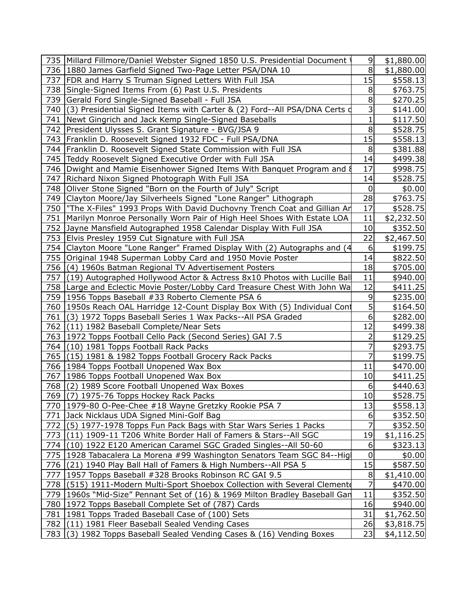| 735   Millard Fillmore/Daniel Webster Signed 1850 U.S. Presidential Document   | $\overline{9}$   | \$1,880.00 |
|--------------------------------------------------------------------------------|------------------|------------|
| 736   1880 James Garfield Signed Two-Page Letter PSA/DNA 10                    | 8                | \$1,880.00 |
| 737   FDR and Harry S Truman Signed Letters With Full JSA                      | 15               | \$558.13   |
| 738 Single-Signed Items From (6) Past U.S. Presidents                          | 8                | \$763.75   |
| 739 Gerald Ford Single-Signed Baseball - Full JSA                              | 8                | \$270.25   |
| 740 (3) Presidential Signed Items with Carter & (2) Ford--All PSA/DNA Certs of | 3                | \$141.00   |
| 741   Newt Gingrich and Jack Kemp Single-Signed Baseballs                      | 1                | \$117.50   |
| 742   President Ulysses S. Grant Signature - BVG/JSA 9                         | 8                | \$528.75   |
| 743   Franklin D. Roosevelt Signed 1932 FDC - Full PSA/DNA                     | 15               | \$558.13   |
| 744   Franklin D. Roosevelt Signed State Commission with Full JSA              | 8                | \$381.88   |
| 745 Teddy Roosevelt Signed Executive Order with Full JSA                       | 14               | \$499.38   |
| 746   Dwight and Mamie Eisenhower Signed Items With Banquet Program and 8      | 17               | \$998.75   |
| 747   Richard Nixon Signed Photograph With Full JSA                            | 14               | \$528.75   |
| 748 Oliver Stone Signed "Born on the Fourth of July" Script                    | $\boldsymbol{0}$ | \$0.00     |
| 749 Clayton Moore/Jay Silverheels Signed "Lone Ranger" Lithograph              | 28               | \$763.75   |
| 750   "The X-Files" 1993 Props With David Duchovny Trench Coat and Gillian Ar  | 17               | \$528.75   |
| 751   Marilyn Monroe Personally Worn Pair of High Heel Shoes With Estate LOA   | 11               | \$2,232.50 |
| 752 Jayne Mansfield Autographed 1958 Calendar Display With Full JSA            | 10               | \$352.50   |
| 753 Elvis Presley 1959 Cut Signature with Full JSA                             | 22               | \$2,467.50 |
| 754 Clayton Moore "Lone Ranger" Framed Display With (2) Autographs and (4      | 6                | \$199.75   |
| 755 Original 1948 Superman Lobby Card and 1950 Movie Poster                    | 14               | \$822.50   |
| 756 (4) 1960s Batman Regional TV Advertisement Posters                         | 18               | \$705.00   |
| 757 (19) Autographed Hollywood Actor & Actress 8x10 Photos with Lucille Ball   | 11               | \$940.00   |
| 758 Large and Eclectic Movie Poster/Lobby Card Treasure Chest With John Wa     | 12               | \$411.25   |
| 759   1956 Topps Baseball #33 Roberto Clemente PSA 6                           | 9                | \$235.00   |
| 760   1950s Reach OAL Harridge 12-Count Display Box With (5) Individual Cont   | 5                | \$164.50   |
| 761 (3) 1972 Topps Baseball Series 1 Wax Packs--All PSA Graded                 | 6                | \$282.00   |
| 762 (11) 1982 Baseball Complete/Near Sets                                      | 12               | \$499.38   |
| 763   1972 Topps Football Cello Pack (Second Series) GAI 7.5                   | 2                | \$129.25   |
| 764 (10) 1981 Topps Football Rack Packs                                        | 7                | \$293.75   |
| 765 (15) 1981 & 1982 Topps Football Grocery Rack Packs                         | 7                | \$199.75   |
| 766   1984 Topps Football Unopened Wax Box                                     | 11               | \$470.00   |
| 767   1986 Topps Football Unopened Wax Box                                     | 10               | \$411.25   |
| 768 (2) 1989 Score Football Unopened Wax Boxes                                 | 6                | \$440.63   |
| 769 (7) 1975-76 Topps Hockey Rack Packs                                        | 10               | \$528.75   |
| 770   1979-80 O-Pee-Chee #18 Wayne Gretzky Rookie PSA 7                        | 13               | \$558.13   |
| 771 Jack Nicklaus UDA Signed Mini-Golf Bag                                     | 6                | \$352.50   |
| 772 (5) 1977-1978 Topps Fun Pack Bags with Star Wars Series 1 Packs            | 7                | \$352.50   |
| 773 (11) 1909-11 T206 White Border Hall of Famers & Stars--All SGC             | 19               | \$1,116.25 |
| 774 (10) 1922 E120 American Caramel SGC Graded Singles--All 50-60              | 6                | \$323.13   |
| 775   1928 Tabacalera La Morena #99 Washington Senators Team SGC 84--Hig       | $\mathbf 0$      | \$0.00     |
| 776 (21) 1940 Play Ball Hall of Famers & High Numbers--All PSA 5               | 15               | \$587.50   |
| 777   1957 Topps Baseball #328 Brooks Robinson RC GAI 9.5                      | 8                | \$1,410.00 |
| 778 (515) 1911-Modern Multi-Sport Shoebox Collection with Several Clement      | 7                | \$470.00   |
| 779   1960s "Mid-Size" Pennant Set of (16) & 1969 Milton Bradley Baseball Gan  | 11               | \$352.50   |
| 780   1972 Topps Baseball Complete Set of (787) Cards                          | 16               | \$940.00   |
| 781   1981 Topps Traded Baseball Case of (100) Sets                            | 31               | \$1,762.50 |
| 782 (11) 1981 Fleer Baseball Sealed Vending Cases                              | 26               | \$3,818.75 |
| 783 (3) 1982 Topps Baseball Sealed Vending Cases & (16) Vending Boxes          | 23               | \$4,112.50 |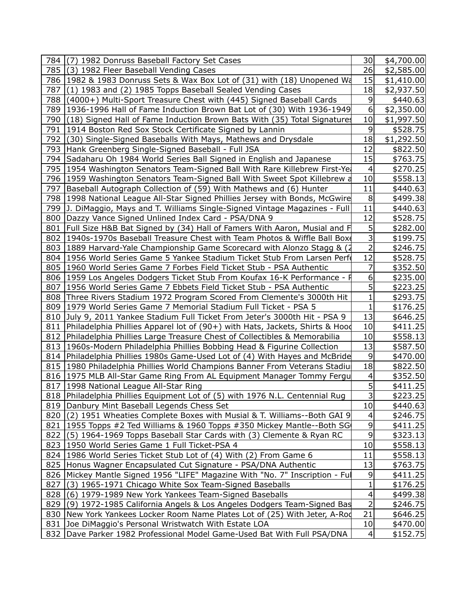|     | 784 (7) 1982 Donruss Baseball Factory Set Cases                                    | 30               | \$4,700.00 |
|-----|------------------------------------------------------------------------------------|------------------|------------|
|     | 785 (3) 1982 Fleer Baseball Vending Cases                                          | 26               | \$2,585.00 |
|     | 786 1982 & 1983 Donruss Sets & Wax Box Lot of (31) with (18) Unopened Wa           | 15               | \$1,410.00 |
| 787 | (1) 1983 and (2) 1985 Topps Baseball Sealed Vending Cases                          | 18               | \$2,937.50 |
|     | 788 (4000+) Multi-Sport Treasure Chest with (445) Signed Baseball Cards            | 9                | \$440.63   |
|     | 789   1936-1996 Hall of Fame Induction Brown Bat Lot of (30) With 1936-1949        | 6                | \$2,350.00 |
|     | 790 (18) Signed Hall of Fame Induction Brown Bats With (35) Total Signatures       | 10               | \$1,997.50 |
|     | 791   1914 Boston Red Sox Stock Certificate Signed by Lannin                       | 9                | \$528.75   |
|     | 792 (30) Single-Signed Baseballs With Mays, Mathews and Drysdale                   | 18               | \$1,292.50 |
|     | 793 Hank Greenberg Single-Signed Baseball - Full JSA                               | 12               | \$822.50   |
|     | 794 Sadaharu Oh 1984 World Series Ball Signed in English and Japanese              | 15               | \$763.75   |
|     | 795   1954 Washington Senators Team-Signed Ball With Rare Killebrew First-Ye       | $\overline{4}$   | \$270.25   |
|     | 796 1959 Washington Senators Team-Signed Ball With Sweet Spot Killebrew a          | 10               | \$558.13   |
|     | 797   Baseball Autograph Collection of (59) With Mathews and (6) Hunter            | 11               | \$440.63   |
|     | 798   1998 National League All-Star Signed Phillies Jersey with Bonds, McGwire     | 8                | \$499.38   |
|     | 799   J. DiMaggio, Mays and T. Williams Single-Signed Vintage Magazines - Full     | 11               | \$440.63   |
|     | 800   Dazzy Vance Signed Unlined Index Card - PSA/DNA 9                            | 12               | \$528.75   |
|     | 801   Full Size H&B Bat Signed by (34) Hall of Famers With Aaron, Musial and F     | 5 <sup>1</sup>   | \$282.00   |
|     | 802 1940s-1970s Baseball Treasure Chest with Team Photos & Wiffle Ball Box         | 3                | \$199.75   |
|     | 803   1889 Harvard-Yale Championship Game Scorecard with Alonzo Stagg & (2)        | $\overline{a}$   | \$246.75   |
|     | 804 1956 World Series Game 5 Yankee Stadium Ticket Stub From Larsen Perf           | 12               | \$528.75   |
|     | 805   1960 World Series Game 7 Forbes Field Ticket Stub - PSA Authentic            | 7                | \$352.50   |
|     | 806   1959 Los Angeles Dodgers Ticket Stub From Koufax 16-K Performance - F        | $6 \overline{6}$ | \$235.00   |
|     | 807   1956 World Series Game 7 Ebbets Field Ticket Stub - PSA Authentic            | $\mathsf{S}$     | \$223.25   |
|     | 808 Three Rivers Stadium 1972 Program Scored From Clemente's 3000th Hit            | 1                | \$293.75   |
|     | 809   1979 World Series Game 7 Memorial Stadium Full Ticket - PSA 5                | $\mathbf{1}$     | \$176.25   |
|     | 810 July 9, 2011 Yankee Stadium Full Ticket From Jeter's 3000th Hit - PSA 9        | 13               | \$646.25   |
|     | 811   Philadelphia Phillies Apparel lot of (90+) with Hats, Jackets, Shirts & Hood | 10               | \$411.25   |
|     | 812 Philadelphia Phillies Large Treasure Chest of Collectibles & Memorabilia       | 10               | \$558.13   |
|     | 813   1960s-Modern Philadelphia Phillies Bobbing Head & Figurine Collection        | 13               | \$587.50   |
|     | 814   Philadelphia Phillies 1980s Game-Used Lot of (4) With Hayes and McBride      | 9                | \$470.00   |
|     | 815   1980 Philadelphia Phillies World Champions Banner From Veterans Stadiu       | 18               | \$822.50   |
|     | 816   1975 MLB All-Star Game Ring From AL Equipment Manager Tommy Fergu            | $\overline{4}$   | \$352.50   |
|     | 817   1998 National League All-Star Ring                                           | $\overline{5}$   | \$411.25   |
|     | 818 Philadelphia Phillies Equipment Lot of (5) with 1976 N.L. Centennial Rug       | $\mathbf{3}$     | \$223.25   |
|     | 819   Danbury Mint Baseball Legends Chess Set                                      | 10               | \$440.63   |
|     | 820 (2) 1951 Wheaties Complete Boxes with Musial & T. Williams--Both GAI 9         | 4                | \$246.75   |
|     | 821   1955 Topps #2 Ted Williams & 1960 Topps #350 Mickey Mantle--Both SG          | $\overline{9}$   | \$411.25   |
|     | 822 (5) 1964-1969 Topps Baseball Star Cards with (3) Clemente & Ryan RC            | $\overline{9}$   | \$323.13   |
|     | 823   1950 World Series Game 1 Full Ticket-PSA 4                                   | 10               | \$558.13   |
|     | 824   1986 World Series Ticket Stub Lot of (4) With (2) From Game 6                | 11               | \$558.13   |
|     | 825 Honus Wagner Encapsulated Cut Signature - PSA/DNA Authentic                    | 13               | \$763.75   |
|     | 826   Mickey Mantle Signed 1956 "LIFE" Magazine With "No. 7" Inscription - Ful     | 9                | \$411.25   |
| 827 | (3) 1965-1971 Chicago White Sox Team-Signed Baseballs                              | $\mathbf 1$      | \$176.25   |
|     | 828 (6) 1979-1989 New York Yankees Team-Signed Baseballs                           | $\overline{4}$   | \$499.38   |
|     | 829 (9) 1972-1985 California Angels & Los Angeles Dodgers Team-Signed Bas          | $\mathbf{2}$     | \$246.75   |
|     | 830 New York Yankees Locker Room Name Plates Lot of (25) With Jeter, A-Rod         | 21               | \$646.25   |
|     | 831 Joe DiMaggio's Personal Wristwatch With Estate LOA                             | 10               | \$470.00   |
|     | 832   Dave Parker 1982 Professional Model Game-Used Bat With Full PSA/DNA          | $\vert 4 \vert$  | \$152.75   |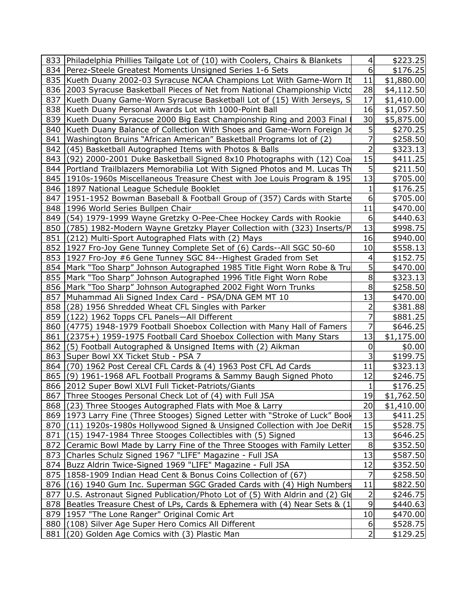|     | 833   Philadelphia Phillies Tailgate Lot of (10) with Coolers, Chairs & Blankets | 4                   | \$223.25   |
|-----|----------------------------------------------------------------------------------|---------------------|------------|
|     | 834   Perez-Steele Greatest Moments Unsigned Series 1-6 Sets                     | 6                   | \$176.25   |
|     | 835 Kueth Duany 2002-03 Syracuse NCAA Champions Lot With Game-Worn It            | 11                  | \$1,880.00 |
|     | 836 2003 Syracuse Basketball Pieces of Net from National Championship Victd      | 28                  | \$4,112.50 |
|     | 837 Kueth Duany Game-Worn Syracuse Basketball Lot of (15) With Jerseys, S        | 17                  | \$1,410.00 |
|     | 838 Kueth Duany Personal Awards Lot with 1000-Point Ball                         | 16                  | \$1,057.50 |
|     | 839 Kueth Duany Syracuse 2000 Big East Championship Ring and 2003 Final          | 30                  | \$5,875.00 |
|     | 840 Kueth Duany Balance of Collection With Shoes and Game-Worn Foreign Je        | 5                   | \$270.25   |
| 841 | Washington Bruins "African American" Basketball Programs lot of (2)              | 7                   | \$258.50   |
| 842 | (45) Basketball Autographed Items with Photos & Balls                            | $\overline{2}$      | \$323.13   |
| 843 | $(92)$ 2000-2001 Duke Basketball Signed 8x10 Photographs with $(12)$ Coal        | 15                  | \$411.25   |
|     | 844   Portland Trailblazers Memorabilia Lot With Signed Photos and M. Lucas Th   | 5                   | \$211.50   |
|     | 845 1910s-1960s Miscellaneous Treasure Chest with Joe Louis Program & 195        | 13                  | \$705.00   |
|     | 846   1897 National League Schedule Booklet                                      | 1                   | \$176.25   |
|     | 847   1951-1952 Bowman Baseball & Football Group of (357) Cards with Starte      | 6                   | \$705.00   |
|     | 848   1996 World Series Bullpen Chair                                            | 11                  | \$470.00   |
|     | 849 (54) 1979-1999 Wayne Gretzky O-Pee-Chee Hockey Cards with Rookie             | 6                   | \$440.63   |
|     | 850 (785) 1982-Modern Wayne Gretzky Player Collection with (323) Inserts/P       | 13                  | \$998.75   |
| 851 | (212) Multi-Sport Autographed Flats with (2) Mays                                | 16                  | \$940.00   |
|     | 852 1927 Fro-Joy Gene Tunney Complete Set of (6) Cards--All SGC 50-60            | 10                  | \$558.13   |
|     | 853   1927 Fro-Joy #6 Gene Tunney SGC 84--Highest Graded from Set                | 4                   | \$152.75   |
|     | 854   Mark "Too Sharp" Johnson Autographed 1985 Title Fight Worn Robe & Tru      | 5                   | \$470.00   |
|     | 855   Mark "Too Sharp" Johnson Autographed 1996 Title Fight Worn Robe            | 8                   | \$323.13   |
|     | 856   Mark "Too Sharp" Johnson Autographed 2002 Fight Worn Trunks                | 8                   | \$258.50   |
| 857 | Muhammad Ali Signed Index Card - PSA/DNA GEM MT 10                               | 13                  | \$470.00   |
| 858 | (28) 1956 Shredded Wheat CFL Singles with Parker                                 | $\overline{2}$      | \$381.88   |
|     | 859 (122) 1962 Topps CFL Panels-All Different                                    | 7                   | \$881.25   |
|     | 860 (4775) 1948-1979 Football Shoebox Collection with Many Hall of Famers        | 7                   | \$646.25   |
| 861 | (2375+) 1959-1975 Football Card Shoebox Collection with Many Stars               | 13                  | \$1,175.00 |
| 862 | (5) Football Autographed & Unsigned Items with (2) Aikman                        | 0                   | \$0.00     |
|     | 863 Super Bowl XX Ticket Stub - PSA 7                                            | 3                   | \$199.75   |
|     | 864 (70) 1962 Post Cereal CFL Cards & (4) 1963 Post CFL Ad Cards                 | 11                  | \$323.13   |
|     | 865 (9) 1961-1968 AFL Football Programs & Sammy Baugh Signed Photo               | 12                  | \$246.75   |
|     | 866   2012 Super Bowl XLVI Full Ticket-Patriots/Giants                           | 1                   | \$176.25   |
|     | 867 Three Stooges Personal Check Lot of (4) with Full JSA                        | 19                  | \$1,762.50 |
|     | 868 (23) Three Stooges Autographed Flats with Moe & Larry                        | 20                  | \$1,410.00 |
|     | 869 1973 Larry Fine (Three Stooges) Signed Letter with "Stroke of Luck" Bool     | 13                  | \$411.25   |
|     | 870 (11) 1920s-1980s Hollywood Signed & Unsigned Collection with Joe DeRit       | 15                  | \$528.75   |
|     | 871 (15) 1947-1984 Three Stooges Collectibles with (5) Signed                    | 13                  | \$646.25   |
|     | 872 Ceramic Bowl Made by Larry Fine of the Three Stooges with Family Letter      | 8                   | \$352.50   |
|     | 873 Charles Schulz Signed 1967 "LIFE" Magazine - Full JSA                        | 13                  | \$587.50   |
|     | 874 Buzz Aldrin Twice-Signed 1969 "LIFE" Magazine - Full JSA                     | 12                  | \$352.50   |
|     | 875   1858-1909 Indian Head Cent & Bonus Coins Collection of (67)                | 7                   | \$258.50   |
|     | 876 (16) 1940 Gum Inc. Superman SGC Graded Cards with (4) High Numbers           | 11                  | \$822.50   |
|     | 877   U.S. Astronaut Signed Publication/Photo Lot of (5) With Aldrin and (2) Gle | 2                   | \$246.75   |
|     | 878 Beatles Treasure Chest of LPs, Cards & Ephemera with (4) Near Sets & (1)     | 9                   | \$440.63   |
|     | 879   1957 "The Lone Ranger" Original Comic Art                                  | 10                  | \$470.00   |
|     | 880 (108) Silver Age Super Hero Comics All Different                             | 6<br>$\overline{2}$ | \$528.75   |
| 881 | (20) Golden Age Comics with (3) Plastic Man                                      |                     | \$129.25   |